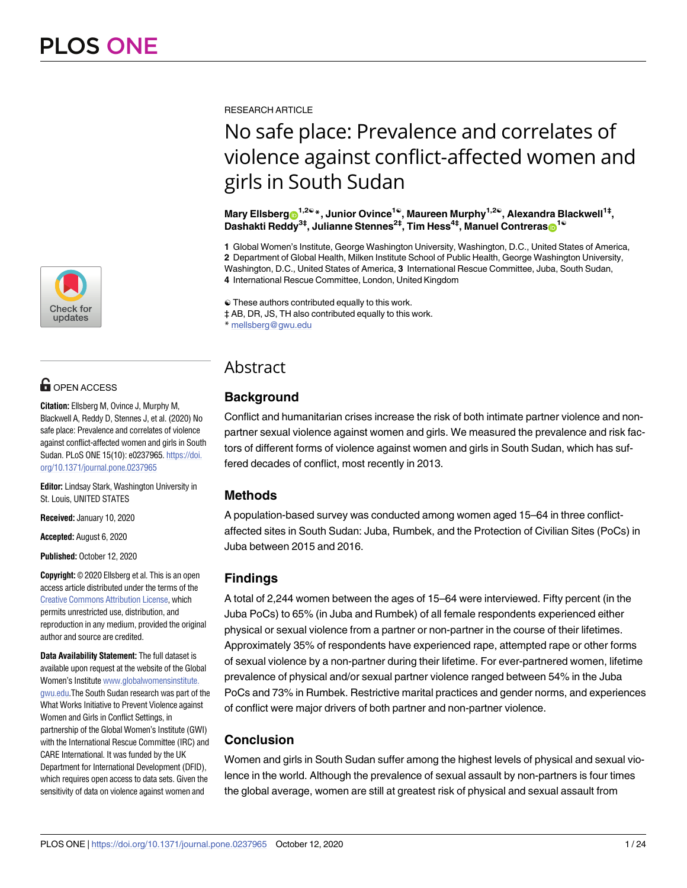

# **OPEN ACCESS**

**Citation:** Ellsberg M, Ovince J, Murphy M, Blackwell A, Reddy D, Stennes J, et al. (2020) No safe place: Prevalence and correlates of violence against conflict-affected women and girls in South Sudan. PLoS ONE 15(10): e0237965. [https://doi.](https://doi.org/10.1371/journal.pone.0237965) [org/10.1371/journal.pone.0237965](https://doi.org/10.1371/journal.pone.0237965)

**Editor:** Lindsay Stark, Washington University in St. Louis, UNITED STATES

**Received:** January 10, 2020

**Accepted:** August 6, 2020

**Published:** October 12, 2020

**Copyright:** © 2020 Ellsberg et al. This is an open access article distributed under the terms of the Creative Commons [Attribution](http://creativecommons.org/licenses/by/4.0/) License, which permits unrestricted use, distribution, and reproduction in any medium, provided the original author and source are credited.

**Data Availability Statement:** The full dataset is available upon request at the website of the Global Women's Institute [www.globalwomensinstitute.](http://www.globalwomensinstitute.gwu.edu) [gwu.edu](http://www.globalwomensinstitute.gwu.edu).The South Sudan research was part of the What Works Initiative to Prevent Violence against Women and Girls in Conflict Settings, in partnership of the Global Women's Institute (GWI) with the International Rescue Committee (IRC) and CARE International. It was funded by the UK Department for International Development (DFID), which requires open access to data sets. Given the sensitivity of data on violence against women and

RESEARCH ARTICLE

# No safe place: Prevalence and correlates of violence against conflict-affected women and girls in South Sudan

**Mary Ellsberg**<sup>1,2€</sup> \*, Junior Ovince<sup>1€</sup>, Maureen Murphy<sup>1,2€</sup>, Alexandra Blackwell<sup>1‡</sup>, **Dashakti Reddy<sup>3‡</sup>, Julianne Stennes<sup>2‡</sup>, Tim Hess<sup>4‡</sup>, Manuel Contreras<sub></sub><sup>1©</sup>** 

 Global Women's Institute, George Washington University, Washington, D.C., United States of America, Department of Global Health, Milken Institute School of Public Health, George Washington University, Washington, D.C., United States of America, **3** International Rescue Committee, Juba, South Sudan, International Rescue Committee, London, United Kingdom

☯ These authors contributed equally to this work.

‡ AB, DR, JS, TH also contributed equally to this work.

\* mellsberg@gwu.edu

# Abstract

# **Background**

Conflict and humanitarian crises increase the risk of both intimate partner violence and nonpartner sexual violence against women and girls. We measured the prevalence and risk factors of different forms of violence against women and girls in South Sudan, which has suffered decades of conflict, most recently in 2013.

# **Methods**

A population-based survey was conducted among women aged 15–64 in three conflictaffected sites in South Sudan: Juba, Rumbek, and the Protection of Civilian Sites (PoCs) in Juba between 2015 and 2016.

# **Findings**

A total of 2,244 women between the ages of 15–64 were interviewed. Fifty percent (in the Juba PoCs) to 65% (in Juba and Rumbek) of all female respondents experienced either physical or sexual violence from a partner or non-partner in the course of their lifetimes. Approximately 35% of respondents have experienced rape, attempted rape or other forms of sexual violence by a non-partner during their lifetime. For ever-partnered women, lifetime prevalence of physical and/or sexual partner violence ranged between 54% in the Juba PoCs and 73% in Rumbek. Restrictive marital practices and gender norms, and experiences of conflict were major drivers of both partner and non-partner violence.

# **Conclusion**

Women and girls in South Sudan suffer among the highest levels of physical and sexual violence in the world. Although the prevalence of sexual assault by non-partners is four times the global average, women are still at greatest risk of physical and sexual assault from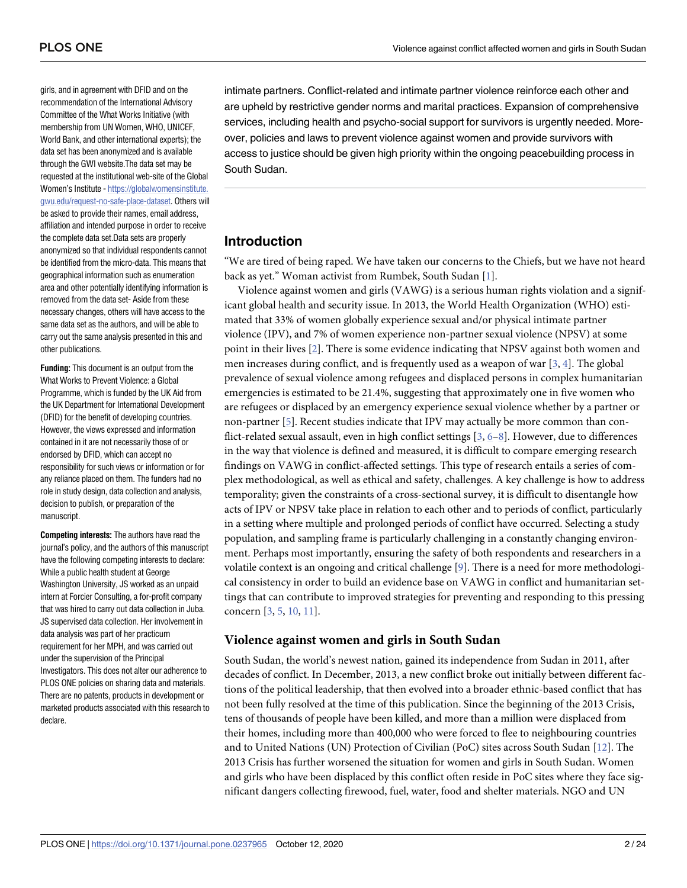<span id="page-1-0"></span>girls, and in agreement with DFID and on the recommendation of the International Advisory Committee of the What Works Initiative (with membership from UN Women, WHO, UNICEF, World Bank, and other international experts); the data set has been anonymized and is available through the GWI website.The data set may be requested at the institutional web-site of the Global Women's Institute - [https://globalwomensinstitute.](https://globalwomensinstitute.gwu.edu/request-no-safe-place-dataset) [gwu.edu/request-no-safe-place-dataset](https://globalwomensinstitute.gwu.edu/request-no-safe-place-dataset). Others will be asked to provide their names, email address, affiliation and intended purpose in order to receive the complete data set.Data sets are properly anonymized so that individual respondents cannot be identified from the micro-data. This means that geographical information such as enumeration area and other potentially identifying information is removed from the data set- Aside from these necessary changes, others will have access to the same data set as the authors, and will be able to carry out the same analysis presented in this and other publications.

**Funding:** This document is an output from the What Works to Prevent Violence: a Global Programme, which is funded by the UK Aid from the UK Department for International Development (DFID) for the benefit of developing countries. However, the views expressed and information contained in it are not necessarily those of or endorsed by DFID, which can accept no responsibility for such views or information or for any reliance placed on them. The funders had no role in study design, data collection and analysis, decision to publish, or preparation of the manuscript.

**Competing interests:** The authors have read the journal's policy, and the authors of this manuscript have the following competing interests to declare: While a public health student at George Washington University, JS worked as an unpaid intern at Forcier Consulting, a for-profit company that was hired to carry out data collection in Juba. JS supervised data collection. Her involvement in data analysis was part of her practicum requirement for her MPH, and was carried out under the supervision of the Principal Investigators. This does not alter our adherence to PLOS ONE policies on sharing data and materials. There are no patents, products in development or marketed products associated with this research to declare.

intimate partners. Conflict-related and intimate partner violence reinforce each other and are upheld by restrictive gender norms and marital practices. Expansion of comprehensive services, including health and psycho-social support for survivors is urgently needed. Moreover, policies and laws to prevent violence against women and provide survivors with access to justice should be given high priority within the ongoing peacebuilding process in South Sudan.

# **Introduction**

"We are tired of being raped. We have taken our concerns to the Chiefs, but we have not heard back as yet." Woman activist from Rumbek, South Sudan [\[1\]](#page-21-0).

Violence against women and girls (VAWG) is a serious human rights violation and a significant global health and security issue. In 2013, the World Health Organization (WHO) estimated that 33% of women globally experience sexual and/or physical intimate partner violence (IPV), and 7% of women experience non-partner sexual violence (NPSV) at some point in their lives [\[2\]](#page-22-0). There is some evidence indicating that NPSV against both women and men increases during conflict, and is frequently used as a weapon of war  $[3, 4]$  $[3, 4]$  $[3, 4]$  $[3, 4]$ . The global prevalence of sexual violence among refugees and displaced persons in complex humanitarian emergencies is estimated to be 21.4%, suggesting that approximately one in five women who are refugees or displaced by an emergency experience sexual violence whether by a partner or non-partner [[5\]](#page-22-0). Recent studies indicate that IPV may actually be more common than conflict-related sexual assault, even in high conflict settings [\[3,](#page-22-0) [6–8](#page-22-0)]. However, due to differences in the way that violence is defined and measured, it is difficult to compare emerging research findings on VAWG in conflict-affected settings. This type of research entails a series of complex methodological, as well as ethical and safety, challenges. A key challenge is how to address temporality; given the constraints of a cross-sectional survey, it is difficult to disentangle how acts of IPV or NPSV take place in relation to each other and to periods of conflict, particularly in a setting where multiple and prolonged periods of conflict have occurred. Selecting a study population, and sampling frame is particularly challenging in a constantly changing environment. Perhaps most importantly, ensuring the safety of both respondents and researchers in a volatile context is an ongoing and critical challenge [\[9](#page-22-0)]. There is a need for more methodological consistency in order to build an evidence base on VAWG in conflict and humanitarian settings that can contribute to improved strategies for preventing and responding to this pressing concern [\[3,](#page-22-0) [5](#page-22-0), [10,](#page-22-0) [11\]](#page-22-0).

# **Violence against women and girls in South Sudan**

South Sudan, the world's newest nation, gained its independence from Sudan in 2011, after decades of conflict. In December, 2013, a new conflict broke out initially between different factions of the political leadership, that then evolved into a broader ethnic-based conflict that has not been fully resolved at the time of this publication. Since the beginning of the 2013 Crisis, tens of thousands of people have been killed, and more than a million were displaced from their homes, including more than 400,000 who were forced to flee to neighbouring countries and to United Nations (UN) Protection of Civilian (PoC) sites across South Sudan [[12](#page-22-0)]. The 2013 Crisis has further worsened the situation for women and girls in South Sudan. Women and girls who have been displaced by this conflict often reside in PoC sites where they face significant dangers collecting firewood, fuel, water, food and shelter materials. NGO and UN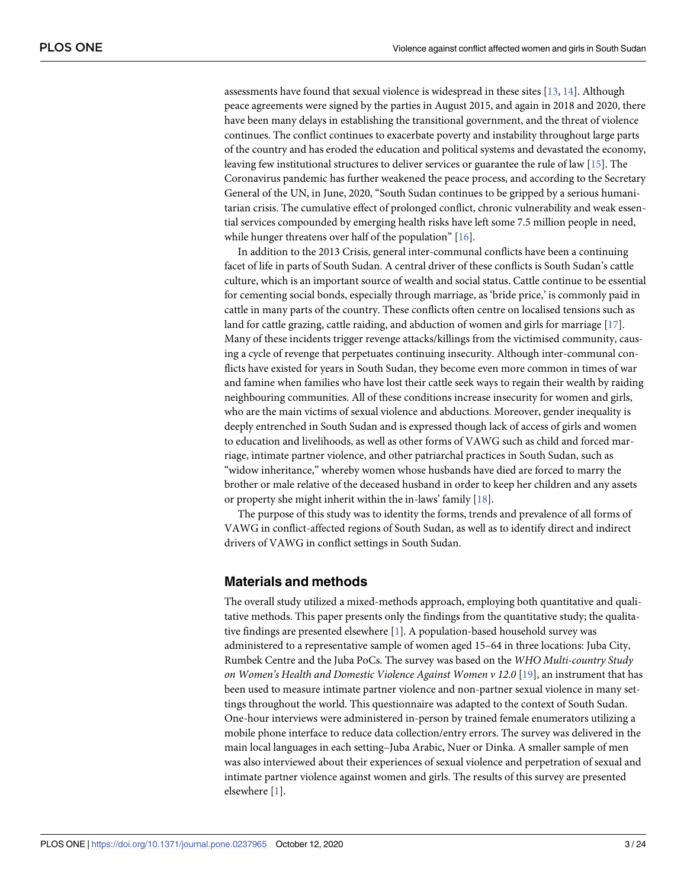<span id="page-2-0"></span>assessments have found that sexual violence is widespread in these sites [[13](#page-22-0), [14](#page-22-0)]. Although peace agreements were signed by the parties in August 2015, and again in 2018 and 2020, there have been many delays in establishing the transitional government, and the threat of violence continues. The conflict continues to exacerbate poverty and instability throughout large parts of the country and has eroded the education and political systems and devastated the economy, leaving few institutional structures to deliver services or guarantee the rule of law [[15](#page-22-0)]. The Coronavirus pandemic has further weakened the peace process, and according to the Secretary General of the UN, in June, 2020, "South Sudan continues to be gripped by a serious humanitarian crisis. The cumulative effect of prolonged conflict, chronic vulnerability and weak essential services compounded by emerging health risks have left some 7.5 million people in need, while hunger threatens over half of the population" [[16](#page-22-0)].

In addition to the 2013 Crisis, general inter-communal conflicts have been a continuing facet of life in parts of South Sudan. A central driver of these conflicts is South Sudan's cattle culture, which is an important source of wealth and social status. Cattle continue to be essential for cementing social bonds, especially through marriage, as 'bride price,' is commonly paid in cattle in many parts of the country. These conflicts often centre on localised tensions such as land for cattle grazing, cattle raiding, and abduction of women and girls for marriage [[17](#page-22-0)]. Many of these incidents trigger revenge attacks/killings from the victimised community, causing a cycle of revenge that perpetuates continuing insecurity. Although inter-communal conflicts have existed for years in South Sudan, they become even more common in times of war and famine when families who have lost their cattle seek ways to regain their wealth by raiding neighbouring communities. All of these conditions increase insecurity for women and girls, who are the main victims of sexual violence and abductions. Moreover, gender inequality is deeply entrenched in South Sudan and is expressed though lack of access of girls and women to education and livelihoods, as well as other forms of VAWG such as child and forced marriage, intimate partner violence, and other patriarchal practices in South Sudan, such as "widow inheritance," whereby women whose husbands have died are forced to marry the brother or male relative of the deceased husband in order to keep her children and any assets or property she might inherit within the in-laws' family [\[18\]](#page-22-0).

The purpose of this study was to identity the forms, trends and prevalence of all forms of VAWG in conflict-affected regions of South Sudan, as well as to identify direct and indirect drivers of VAWG in conflict settings in South Sudan.

# **Materials and methods**

The overall study utilized a mixed-methods approach, employing both quantitative and qualitative methods. This paper presents only the findings from the quantitative study; the qualitative findings are presented elsewhere [[1](#page-21-0)]. A population-based household survey was administered to a representative sample of women aged 15–64 in three locations: Juba City, Rumbek Centre and the Juba PoCs. The survey was based on the *WHO Multi-country Study on Women's Health and Domestic Violence Against Women v 12*.*0* [[19](#page-22-0)], an instrument that has been used to measure intimate partner violence and non-partner sexual violence in many settings throughout the world. This questionnaire was adapted to the context of South Sudan. One-hour interviews were administered in-person by trained female enumerators utilizing a mobile phone interface to reduce data collection/entry errors. The survey was delivered in the main local languages in each setting–Juba Arabic, Nuer or Dinka. A smaller sample of men was also interviewed about their experiences of sexual violence and perpetration of sexual and intimate partner violence against women and girls. The results of this survey are presented elsewhere [\[1](#page-21-0)].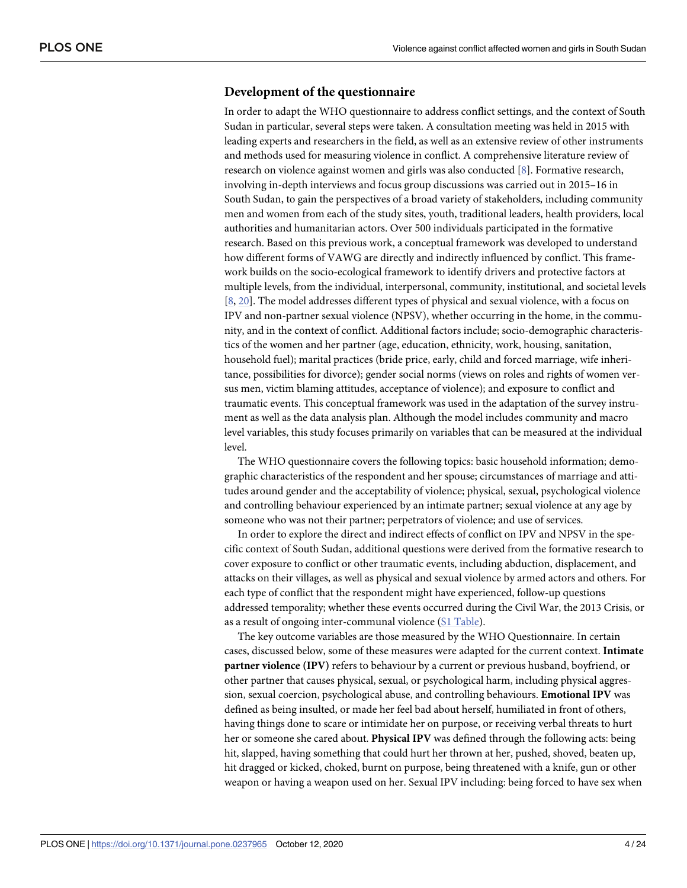# <span id="page-3-0"></span>**Development of the questionnaire**

In order to adapt the WHO questionnaire to address conflict settings, and the context of South Sudan in particular, several steps were taken. A consultation meeting was held in 2015 with leading experts and researchers in the field, as well as an extensive review of other instruments and methods used for measuring violence in conflict. A comprehensive literature review of research on violence against women and girls was also conducted [[8](#page-22-0)]. Formative research, involving in-depth interviews and focus group discussions was carried out in 2015–16 in South Sudan, to gain the perspectives of a broad variety of stakeholders, including community men and women from each of the study sites, youth, traditional leaders, health providers, local authorities and humanitarian actors. Over 500 individuals participated in the formative research. Based on this previous work, a conceptual framework was developed to understand how different forms of VAWG are directly and indirectly influenced by conflict. This framework builds on the socio-ecological framework to identify drivers and protective factors at multiple levels, from the individual, interpersonal, community, institutional, and societal levels [\[8](#page-22-0), [20](#page-22-0)]. The model addresses different types of physical and sexual violence, with a focus on IPV and non-partner sexual violence (NPSV), whether occurring in the home, in the community, and in the context of conflict. Additional factors include; socio-demographic characteristics of the women and her partner (age, education, ethnicity, work, housing, sanitation, household fuel); marital practices (bride price, early, child and forced marriage, wife inheritance, possibilities for divorce); gender social norms (views on roles and rights of women versus men, victim blaming attitudes, acceptance of violence); and exposure to conflict and traumatic events. This conceptual framework was used in the adaptation of the survey instrument as well as the data analysis plan. Although the model includes community and macro level variables, this study focuses primarily on variables that can be measured at the individual level.

The WHO questionnaire covers the following topics: basic household information; demographic characteristics of the respondent and her spouse; circumstances of marriage and attitudes around gender and the acceptability of violence; physical, sexual, psychological violence and controlling behaviour experienced by an intimate partner; sexual violence at any age by someone who was not their partner; perpetrators of violence; and use of services.

In order to explore the direct and indirect effects of conflict on IPV and NPSV in the specific context of South Sudan, additional questions were derived from the formative research to cover exposure to conflict or other traumatic events, including abduction, displacement, and attacks on their villages, as well as physical and sexual violence by armed actors and others. For each type of conflict that the respondent might have experienced, follow-up questions addressed temporality; whether these events occurred during the Civil War, the 2013 Crisis, or as a result of ongoing inter-communal violence (S1 [Table](#page-21-0)).

The key outcome variables are those measured by the WHO Questionnaire. In certain cases, discussed below, some of these measures were adapted for the current context. **Intimate partner violence (IPV)** refers to behaviour by a current or previous husband, boyfriend, or other partner that causes physical, sexual, or psychological harm, including physical aggression, sexual coercion, psychological abuse, and controlling behaviours. **Emotional IPV** was defined as being insulted, or made her feel bad about herself, humiliated in front of others, having things done to scare or intimidate her on purpose, or receiving verbal threats to hurt her or someone she cared about. **Physical IPV** was defined through the following acts: being hit, slapped, having something that could hurt her thrown at her, pushed, shoved, beaten up, hit dragged or kicked, choked, burnt on purpose, being threatened with a knife, gun or other weapon or having a weapon used on her. Sexual IPV including: being forced to have sex when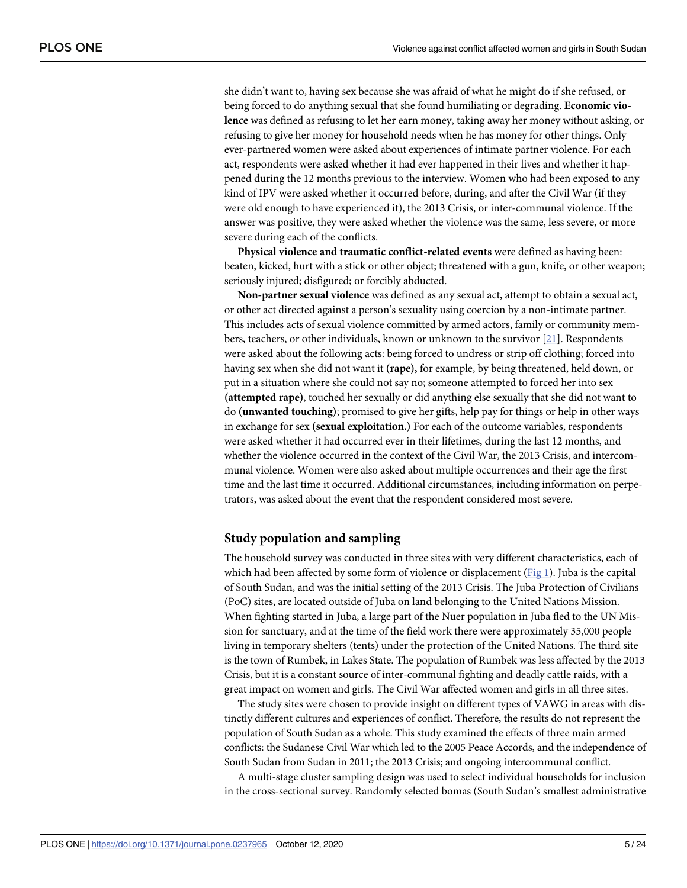<span id="page-4-0"></span>she didn't want to, having sex because she was afraid of what he might do if she refused, or being forced to do anything sexual that she found humiliating or degrading. **Economic violence** was defined as refusing to let her earn money, taking away her money without asking, or refusing to give her money for household needs when he has money for other things. Only ever-partnered women were asked about experiences of intimate partner violence. For each act, respondents were asked whether it had ever happened in their lives and whether it happened during the 12 months previous to the interview. Women who had been exposed to any kind of IPV were asked whether it occurred before, during, and after the Civil War (if they were old enough to have experienced it), the 2013 Crisis, or inter-communal violence. If the answer was positive, they were asked whether the violence was the same, less severe, or more severe during each of the conflicts.

**Physical violence and traumatic conflict-related events** were defined as having been: beaten, kicked, hurt with a stick or other object; threatened with a gun, knife, or other weapon; seriously injured; disfigured; or forcibly abducted.

**Non-partner sexual violence** was defined as any sexual act, attempt to obtain a sexual act, or other act directed against a person's sexuality using coercion by a non-intimate partner. This includes acts of sexual violence committed by armed actors, family or community members, teachers, or other individuals, known or unknown to the survivor [[21](#page-22-0)]. Respondents were asked about the following acts: being forced to undress or strip off clothing; forced into having sex when she did not want it **(rape),** for example, by being threatened, held down, or put in a situation where she could not say no; someone attempted to forced her into sex **(attempted rape)**, touched her sexually or did anything else sexually that she did not want to do **(unwanted touching)**; promised to give her gifts, help pay for things or help in other ways in exchange for sex **(sexual exploitation.)** For each of the outcome variables, respondents were asked whether it had occurred ever in their lifetimes, during the last 12 months, and whether the violence occurred in the context of the Civil War, the 2013 Crisis, and intercommunal violence. Women were also asked about multiple occurrences and their age the first time and the last time it occurred. Additional circumstances, including information on perpetrators, was asked about the event that the respondent considered most severe.

### **Study population and sampling**

The household survey was conducted in three sites with very different characteristics, each of which had been affected by some form of violence or displacement [\(Fig](#page-5-0) 1). Juba is the capital of South Sudan, and was the initial setting of the 2013 Crisis. The Juba Protection of Civilians (PoC) sites, are located outside of Juba on land belonging to the United Nations Mission. When fighting started in Juba, a large part of the Nuer population in Juba fled to the UN Mission for sanctuary, and at the time of the field work there were approximately 35,000 people living in temporary shelters (tents) under the protection of the United Nations. The third site is the town of Rumbek, in Lakes State. The population of Rumbek was less affected by the 2013 Crisis, but it is a constant source of inter-communal fighting and deadly cattle raids, with a great impact on women and girls. The Civil War affected women and girls in all three sites.

The study sites were chosen to provide insight on different types of VAWG in areas with distinctly different cultures and experiences of conflict. Therefore, the results do not represent the population of South Sudan as a whole. This study examined the effects of three main armed conflicts: the Sudanese Civil War which led to the 2005 Peace Accords, and the independence of South Sudan from Sudan in 2011; the 2013 Crisis; and ongoing intercommunal conflict.

A multi-stage cluster sampling design was used to select individual households for inclusion in the cross-sectional survey. Randomly selected bomas (South Sudan's smallest administrative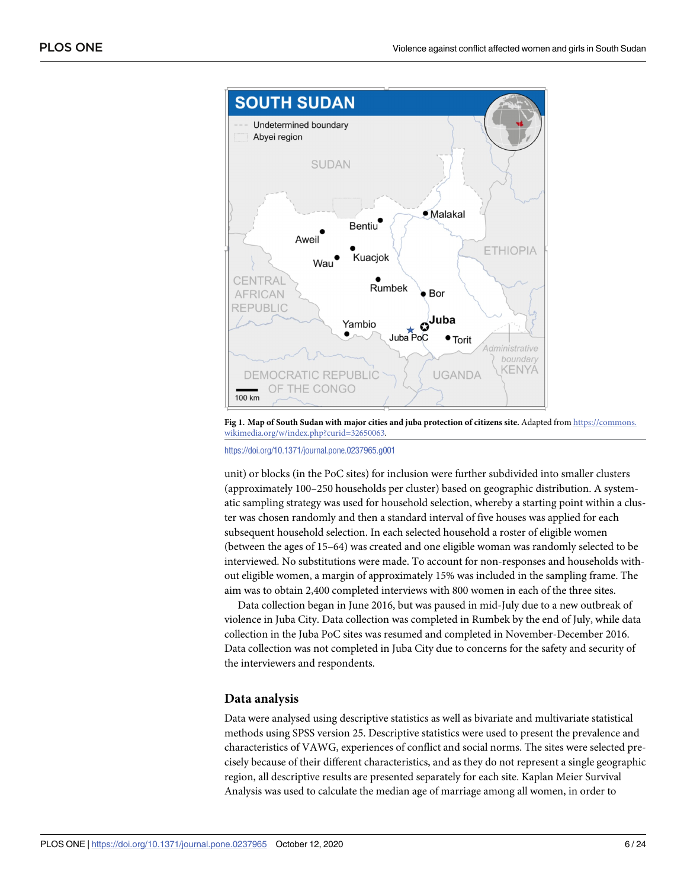<span id="page-5-0"></span>

**[Fig](#page-4-0) 1. Map of South Sudan with major cities and juba protection of citizens site.** Adapted from [https://commons.](https://commons.wikimedia.org/w/index.php?curid=32650063) [wikimedia.org/w/index.php?curid=32650063](https://commons.wikimedia.org/w/index.php?curid=32650063).

<https://doi.org/10.1371/journal.pone.0237965.g001>

unit) or blocks (in the PoC sites) for inclusion were further subdivided into smaller clusters (approximately 100–250 households per cluster) based on geographic distribution. A systematic sampling strategy was used for household selection, whereby a starting point within a cluster was chosen randomly and then a standard interval of five houses was applied for each subsequent household selection. In each selected household a roster of eligible women (between the ages of 15–64) was created and one eligible woman was randomly selected to be interviewed. No substitutions were made. To account for non-responses and households without eligible women, a margin of approximately 15% was included in the sampling frame. The aim was to obtain 2,400 completed interviews with 800 women in each of the three sites.

Data collection began in June 2016, but was paused in mid-July due to a new outbreak of violence in Juba City. Data collection was completed in Rumbek by the end of July, while data collection in the Juba PoC sites was resumed and completed in November-December 2016. Data collection was not completed in Juba City due to concerns for the safety and security of the interviewers and respondents.

### **Data analysis**

Data were analysed using descriptive statistics as well as bivariate and multivariate statistical methods using SPSS version 25. Descriptive statistics were used to present the prevalence and characteristics of VAWG, experiences of conflict and social norms. The sites were selected precisely because of their different characteristics, and as they do not represent a single geographic region, all descriptive results are presented separately for each site. Kaplan Meier Survival Analysis was used to calculate the median age of marriage among all women, in order to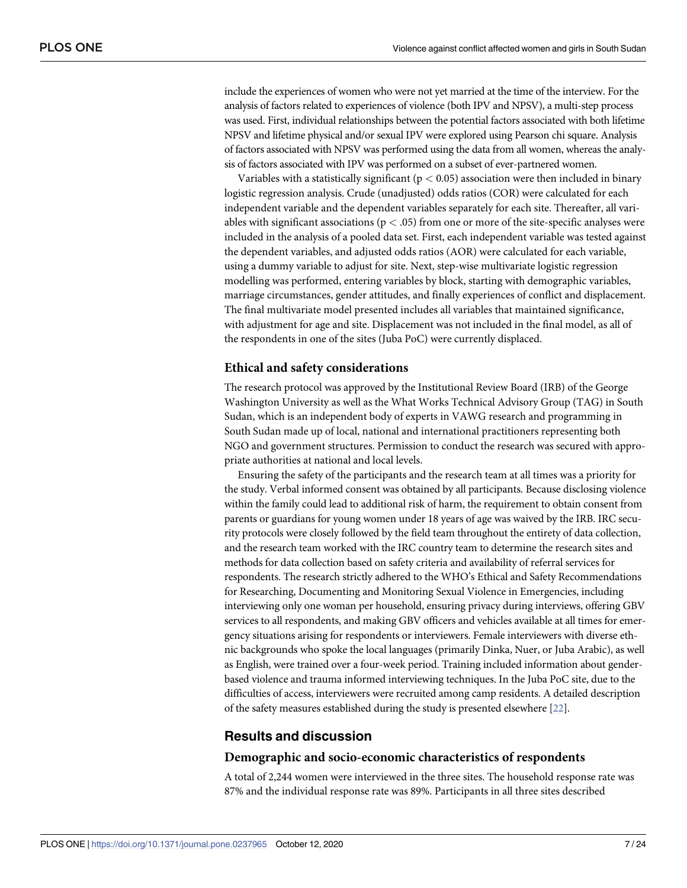<span id="page-6-0"></span>include the experiences of women who were not yet married at the time of the interview. For the analysis of factors related to experiences of violence (both IPV and NPSV), a multi-step process was used. First, individual relationships between the potential factors associated with both lifetime NPSV and lifetime physical and/or sexual IPV were explored using Pearson chi square. Analysis of factors associated with NPSV was performed using the data from all women, whereas the analysis of factors associated with IPV was performed on a subset of ever-partnered women.

Variables with a statistically significant (p *<* 0.05) association were then included in binary logistic regression analysis. Crude (unadjusted) odds ratios (COR) were calculated for each independent variable and the dependent variables separately for each site. Thereafter, all variables with significant associations (p *<* .05) from one or more of the site-specific analyses were included in the analysis of a pooled data set. First, each independent variable was tested against the dependent variables, and adjusted odds ratios (AOR) were calculated for each variable, using a dummy variable to adjust for site. Next, step-wise multivariate logistic regression modelling was performed, entering variables by block, starting with demographic variables, marriage circumstances, gender attitudes, and finally experiences of conflict and displacement. The final multivariate model presented includes all variables that maintained significance, with adjustment for age and site. Displacement was not included in the final model, as all of the respondents in one of the sites (Juba PoC) were currently displaced.

# **Ethical and safety considerations**

The research protocol was approved by the Institutional Review Board (IRB) of the George Washington University as well as the What Works Technical Advisory Group (TAG) in South Sudan, which is an independent body of experts in VAWG research and programming in South Sudan made up of local, national and international practitioners representing both NGO and government structures. Permission to conduct the research was secured with appropriate authorities at national and local levels.

Ensuring the safety of the participants and the research team at all times was a priority for the study. Verbal informed consent was obtained by all participants. Because disclosing violence within the family could lead to additional risk of harm, the requirement to obtain consent from parents or guardians for young women under 18 years of age was waived by the IRB. IRC security protocols were closely followed by the field team throughout the entirety of data collection, and the research team worked with the IRC country team to determine the research sites and methods for data collection based on safety criteria and availability of referral services for respondents. The research strictly adhered to the WHO's Ethical and Safety Recommendations for Researching, Documenting and Monitoring Sexual Violence in Emergencies, including interviewing only one woman per household, ensuring privacy during interviews, offering GBV services to all respondents, and making GBV officers and vehicles available at all times for emergency situations arising for respondents or interviewers. Female interviewers with diverse ethnic backgrounds who spoke the local languages (primarily Dinka, Nuer, or Juba Arabic), as well as English, were trained over a four-week period. Training included information about genderbased violence and trauma informed interviewing techniques. In the Juba PoC site, due to the difficulties of access, interviewers were recruited among camp residents. A detailed description of the safety measures established during the study is presented elsewhere [\[22](#page-23-0)].

# **Results and discussion**

### **Demographic and socio-economic characteristics of respondents**

A total of 2,244 women were interviewed in the three sites. The household response rate was 87% and the individual response rate was 89%. Participants in all three sites described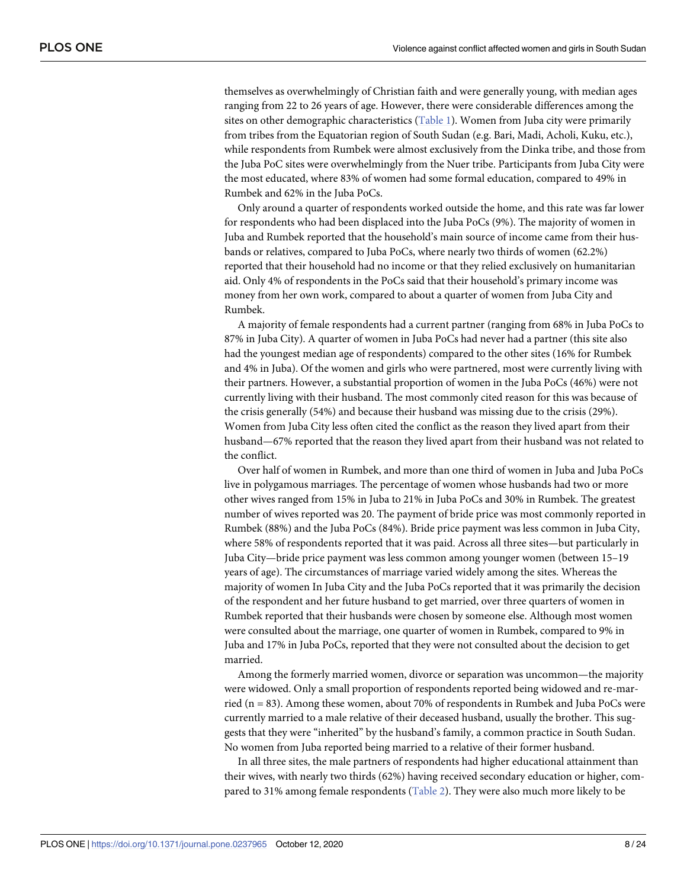<span id="page-7-0"></span>themselves as overwhelmingly of Christian faith and were generally young, with median ages ranging from 22 to 26 years of age. However, there were considerable differences among the sites on other demographic characteristics [\(Table](#page-8-0) 1). Women from Juba city were primarily from tribes from the Equatorian region of South Sudan (e.g. Bari, Madi, Acholi, Kuku, etc.), while respondents from Rumbek were almost exclusively from the Dinka tribe, and those from the Juba PoC sites were overwhelmingly from the Nuer tribe. Participants from Juba City were the most educated, where 83% of women had some formal education, compared to 49% in Rumbek and 62% in the Juba PoCs.

Only around a quarter of respondents worked outside the home, and this rate was far lower for respondents who had been displaced into the Juba PoCs (9%). The majority of women in Juba and Rumbek reported that the household's main source of income came from their husbands or relatives, compared to Juba PoCs, where nearly two thirds of women (62.2%) reported that their household had no income or that they relied exclusively on humanitarian aid. Only 4% of respondents in the PoCs said that their household's primary income was money from her own work, compared to about a quarter of women from Juba City and Rumbek.

A majority of female respondents had a current partner (ranging from 68% in Juba PoCs to 87% in Juba City). A quarter of women in Juba PoCs had never had a partner (this site also had the youngest median age of respondents) compared to the other sites (16% for Rumbek and 4% in Juba). Of the women and girls who were partnered, most were currently living with their partners. However, a substantial proportion of women in the Juba PoCs (46%) were not currently living with their husband. The most commonly cited reason for this was because of the crisis generally (54%) and because their husband was missing due to the crisis (29%). Women from Juba City less often cited the conflict as the reason they lived apart from their husband—67% reported that the reason they lived apart from their husband was not related to the conflict.

Over half of women in Rumbek, and more than one third of women in Juba and Juba PoCs live in polygamous marriages. The percentage of women whose husbands had two or more other wives ranged from 15% in Juba to 21% in Juba PoCs and 30% in Rumbek. The greatest number of wives reported was 20. The payment of bride price was most commonly reported in Rumbek (88%) and the Juba PoCs (84%). Bride price payment was less common in Juba City, where 58% of respondents reported that it was paid. Across all three sites—but particularly in Juba City—bride price payment was less common among younger women (between 15–19 years of age). The circumstances of marriage varied widely among the sites. Whereas the majority of women In Juba City and the Juba PoCs reported that it was primarily the decision of the respondent and her future husband to get married, over three quarters of women in Rumbek reported that their husbands were chosen by someone else. Although most women were consulted about the marriage, one quarter of women in Rumbek, compared to 9% in Juba and 17% in Juba PoCs, reported that they were not consulted about the decision to get married.

Among the formerly married women, divorce or separation was uncommon—the majority were widowed. Only a small proportion of respondents reported being widowed and re-married ( $n = 83$ ). Among these women, about 70% of respondents in Rumbek and Juba PoCs were currently married to a male relative of their deceased husband, usually the brother. This suggests that they were "inherited" by the husband's family, a common practice in South Sudan. No women from Juba reported being married to a relative of their former husband.

In all three sites, the male partners of respondents had higher educational attainment than their wives, with nearly two thirds (62%) having received secondary education or higher, compared to 31% among female respondents [\(Table](#page-10-0) 2). They were also much more likely to be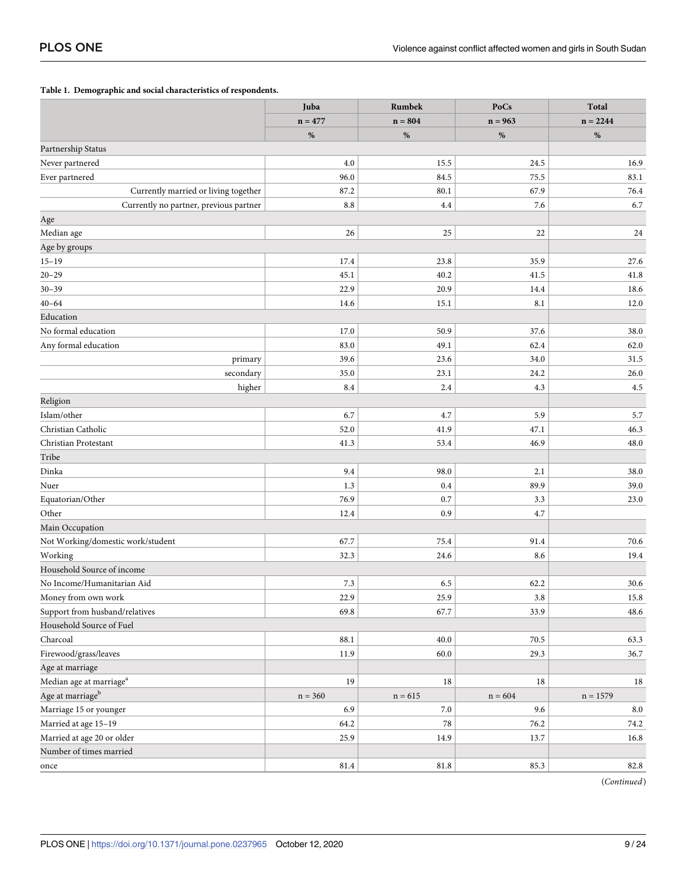### <span id="page-8-0"></span>**[Table](#page-7-0) 1. Demographic and social characteristics of respondents.**

|                                        | Juba      | Rumbek    | PoCs      | <b>Total</b> |
|----------------------------------------|-----------|-----------|-----------|--------------|
|                                        | $n = 477$ | $n = 804$ | $n = 963$ | $n = 2244$   |
|                                        | $\%$      | $\%$      | $\%$      | $\%$         |
| Partnership Status                     |           |           |           |              |
| Never partnered                        | 4.0       | 15.5      | 24.5      | 16.9         |
| Ever partnered                         | 96.0      | 84.5      | 75.5      | 83.1         |
| Currently married or living together   | 87.2      | 80.1      | 67.9      | 76.4         |
| Currently no partner, previous partner | 8.8       | 4.4       | 7.6       | 6.7          |
| Age                                    |           |           |           |              |
| Median age                             | 26        | 25        | 22        | 24           |
| Age by groups                          |           |           |           |              |
| $15 - 19$                              | 17.4      | 23.8      | 35.9      | 27.6         |
| $20 - 29$                              | 45.1      | 40.2      | 41.5      | 41.8         |
| $30 - 39$                              | 22.9      | 20.9      | 14.4      | 18.6         |
| $40 - 64$                              | 14.6      | 15.1      | 8.1       | 12.0         |
| Education                              |           |           |           |              |
| No formal education                    | 17.0      | 50.9      | 37.6      | 38.0         |
| Any formal education                   | 83.0      | 49.1      | 62.4      | 62.0         |
| primary                                | 39.6      | 23.6      | 34.0      | 31.5         |
| secondary                              | 35.0      | 23.1      | 24.2      | 26.0         |
| higher                                 | 8.4       | 2.4       | 4.3       | 4.5          |
| Religion                               |           |           |           |              |
| Islam/other                            | 6.7       | 4.7       | 5.9       | 5.7          |
| Christian Catholic                     | 52.0      | 41.9      | 47.1      | 46.3         |
| Christian Protestant                   | 41.3      | 53.4      | 46.9      | 48.0         |
| Tribe                                  |           |           |           |              |
| Dinka                                  | 9.4       | 98.0      | 2.1       | 38.0         |
| Nuer                                   | 1.3       | 0.4       | 89.9      | 39.0         |
| Equatorian/Other                       | 76.9      | 0.7       | 3.3       | 23.0         |
| Other                                  | 12.4      | 0.9       | 4.7       |              |
| Main Occupation                        |           |           |           |              |
| Not Working/domestic work/student      | 67.7      | 75.4      | 91.4      | 70.6         |
| Working                                | 32.3      | 24.6      | 8.6       | 19.4         |
| Household Source of income             |           |           |           |              |
| No Income/Humanitarian Aid             | 7.3       | 6.5       | 62.2      | 30.6         |
| Money from own work                    | 22.9      | 25.9      | 3.8       | 15.8         |
| Support from husband/relatives         | 69.8      | 67.7      | 33.9      | 48.6         |
| Household Source of Fuel               |           |           |           |              |
| Charcoal                               | 88.1      | $40.0\,$  | 70.5      | 63.3         |
| Firewood/grass/leaves                  | 11.9      | $60.0\,$  | 29.3      | 36.7         |
| Age at marriage                        |           |           |           |              |
| Median age at marriage $^{\rm a}$      | 19        | $18\,$    | 18        | $18\,$       |
| Age at marriage $^{\rm b}$             | $n = 360$ | $n = 615$ | $n = 604$ | $n = 1579$   |
| Marriage 15 or younger                 | 6.9       | $7.0\,$   | 9.6       | $\ \, 8.0$   |
| Married at age 15-19                   | 64.2      | $78\,$    | 76.2      | 74.2         |
| Married at age 20 or older             | 25.9      | 14.9      | 13.7      | 16.8         |
| Number of times married                |           |           |           |              |
| once                                   | 81.4      | $81.8\,$  | 85.3      | 82.8         |

(*Continued*)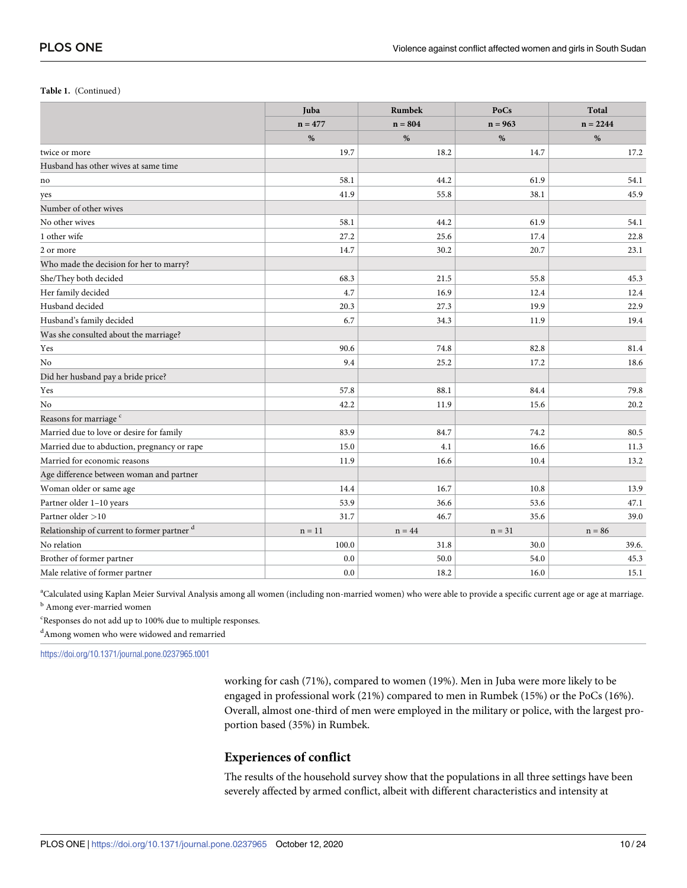#### **Table 1.** (Continued)

|                                             | Juba      | Rumbek    | PoCs      | Total      |
|---------------------------------------------|-----------|-----------|-----------|------------|
|                                             | $n = 477$ | $n = 804$ | $n = 963$ | $n = 2244$ |
|                                             | %         | %         | %         | %          |
| twice or more                               | 19.7      | 18.2      | 14.7      | 17.2       |
| Husband has other wives at same time        |           |           |           |            |
| no                                          | 58.1      | 44.2      | 61.9      | 54.1       |
| yes                                         | 41.9      | 55.8      | 38.1      | 45.9       |
| Number of other wives                       |           |           |           |            |
| No other wives                              | 58.1      | 44.2      | 61.9      | 54.1       |
| 1 other wife                                | 27.2      | 25.6      | 17.4      | 22.8       |
| 2 or more                                   | 14.7      | 30.2      | 20.7      | 23.1       |
| Who made the decision for her to marry?     |           |           |           |            |
| She/They both decided                       | 68.3      | 21.5      | 55.8      | 45.3       |
| Her family decided                          | 4.7       | 16.9      | 12.4      | 12.4       |
| Husband decided                             | 20.3      | 27.3      | 19.9      | 22.9       |
| Husband's family decided                    | 6.7       | 34.3      | 11.9      | 19.4       |
| Was she consulted about the marriage?       |           |           |           |            |
| Yes                                         | 90.6      | 74.8      | 82.8      | 81.4       |
| No                                          | 9.4       | 25.2      | 17.2      | 18.6       |
| Did her husband pay a bride price?          |           |           |           |            |
| Yes                                         | 57.8      | 88.1      | 84.4      | 79.8       |
| No                                          | 42.2      | 11.9      | 15.6      | 20.2       |
| Reasons for marriage <sup>c</sup>           |           |           |           |            |
| Married due to love or desire for family    | 83.9      | 84.7      | 74.2      | 80.5       |
| Married due to abduction, pregnancy or rape | 15.0      | 4.1       | 16.6      | 11.3       |
| Married for economic reasons                | 11.9      | 16.6      | 10.4      | 13.2       |
| Age difference between woman and partner    |           |           |           |            |
| Woman older or same age                     | 14.4      | 16.7      | 10.8      | 13.9       |
| Partner older 1-10 years                    | 53.9      | 36.6      | 53.6      | 47.1       |
| Partner older >10                           | 31.7      | 46.7      | 35.6      | 39.0       |
| Relationship of current to former partner d | $n = 11$  | $n = 44$  | $n = 31$  | $n = 86$   |
| No relation                                 | 100.0     | 31.8      | 30.0      | 39.6.      |
| Brother of former partner                   | 0.0       | 50.0      | 54.0      | 45.3       |
| Male relative of former partner             | 0.0       | 18.2      | 16.0      | 15.1       |

a Calculated using Kaplan Meier Survival Analysis among all women (including non-married women) who were able to provide a specific current age or age at marriage. <sup>b</sup> Among ever-married women

c Responses do not add up to 100% due to multiple responses.

d Among women who were widowed and remarried

<https://doi.org/10.1371/journal.pone.0237965.t001>

working for cash (71%), compared to women (19%). Men in Juba were more likely to be engaged in professional work (21%) compared to men in Rumbek (15%) or the PoCs (16%). Overall, almost one-third of men were employed in the military or police, with the largest proportion based (35%) in Rumbek.

# **Experiences of conflict**

The results of the household survey show that the populations in all three settings have been severely affected by armed conflict, albeit with different characteristics and intensity at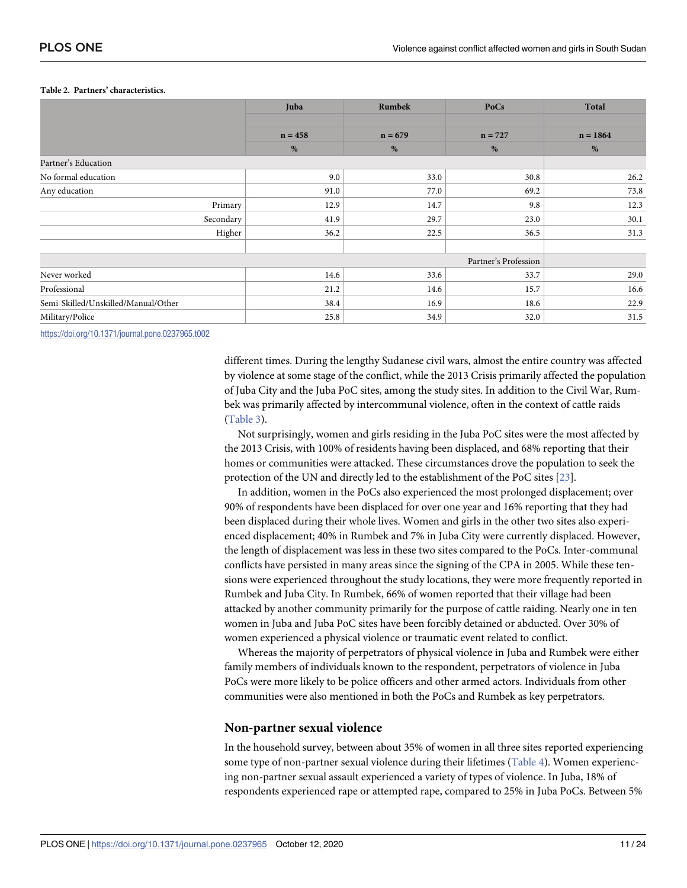|                                     | Juba      | Rumbek    | PoCs                 | <b>Total</b> |
|-------------------------------------|-----------|-----------|----------------------|--------------|
|                                     |           |           |                      |              |
|                                     | $n = 458$ | $n = 679$ | $n = 727$            | $n = 1864$   |
|                                     | %         | %         | %                    | %            |
| Partner's Education                 |           |           |                      |              |
| No formal education                 | 9.0       | 33.0      | 30.8                 | 26.2         |
| Any education                       | 91.0      | 77.0      | 69.2                 | 73.8         |
| Primary                             | 12.9      | 14.7      | 9.8                  | 12.3         |
| Secondary                           | 41.9      | 29.7      | 23.0                 | 30.1         |
| Higher                              | 36.2      | 22.5      | 36.5                 | 31.3         |
|                                     |           |           |                      |              |
|                                     |           |           | Partner's Profession |              |
| Never worked                        | 14.6      | 33.6      | 33.7                 | 29.0         |
| Professional                        | 21.2      | 14.6      | 15.7                 | 16.6         |
| Semi-Skilled/Unskilled/Manual/Other | 38.4      | 16.9      | 18.6                 | 22.9         |
| Military/Police                     | 25.8      | 34.9      | 32.0                 | 31.5         |

#### <span id="page-10-0"></span>**[Table](#page-7-0) 2. Partners' characteristics.**

<https://doi.org/10.1371/journal.pone.0237965.t002>

different times. During the lengthy Sudanese civil wars, almost the entire country was affected by violence at some stage of the conflict, while the 2013 Crisis primarily affected the population of Juba City and the Juba PoC sites, among the study sites. In addition to the Civil War, Rumbek was primarily affected by intercommunal violence, often in the context of cattle raids [\(Table](#page-11-0) 3).

Not surprisingly, women and girls residing in the Juba PoC sites were the most affected by the 2013 Crisis, with 100% of residents having been displaced, and 68% reporting that their homes or communities were attacked. These circumstances drove the population to seek the protection of the UN and directly led to the establishment of the PoC sites [[23](#page-23-0)].

In addition, women in the PoCs also experienced the most prolonged displacement; over 90% of respondents have been displaced for over one year and 16% reporting that they had been displaced during their whole lives. Women and girls in the other two sites also experienced displacement; 40% in Rumbek and 7% in Juba City were currently displaced. However, the length of displacement was less in these two sites compared to the PoCs. Inter-communal conflicts have persisted in many areas since the signing of the CPA in 2005. While these tensions were experienced throughout the study locations, they were more frequently reported in Rumbek and Juba City. In Rumbek, 66% of women reported that their village had been attacked by another community primarily for the purpose of cattle raiding. Nearly one in ten women in Juba and Juba PoC sites have been forcibly detained or abducted. Over 30% of women experienced a physical violence or traumatic event related to conflict.

Whereas the majority of perpetrators of physical violence in Juba and Rumbek were either family members of individuals known to the respondent, perpetrators of violence in Juba PoCs were more likely to be police officers and other armed actors. Individuals from other communities were also mentioned in both the PoCs and Rumbek as key perpetrators.

### **Non-partner sexual violence**

In the household survey, between about 35% of women in all three sites reported experiencing some type of non-partner sexual violence during their lifetimes ([Table](#page-12-0) 4). Women experiencing non-partner sexual assault experienced a variety of types of violence. In Juba, 18% of respondents experienced rape or attempted rape, compared to 25% in Juba PoCs. Between 5%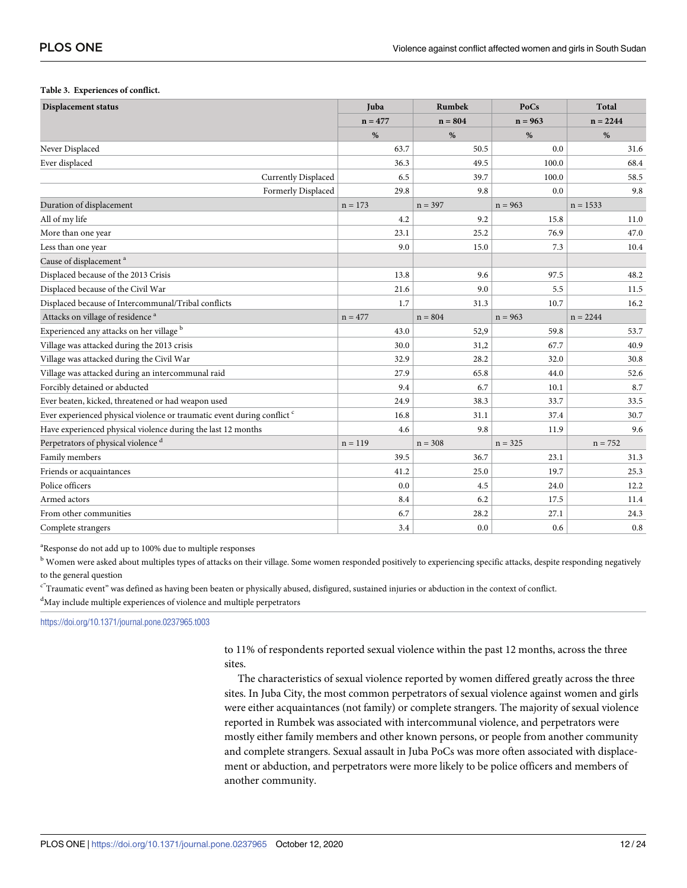#### <span id="page-11-0"></span>**[Table](#page-10-0) 3. Experiences of conflict.**

| <b>Displacement status</b>                                              | Juba      | Rumbek    | PoCs      | <b>Total</b> |
|-------------------------------------------------------------------------|-----------|-----------|-----------|--------------|
|                                                                         | $n = 477$ | $n = 804$ | $n = 963$ | $n = 2244$   |
|                                                                         | $\%$      | $\%$      | $\%$      | $\%$         |
| Never Displaced                                                         | 63.7      | 50.5      | 0.0       | 31.6         |
| Ever displaced                                                          | 36.3      | 49.5      | 100.0     | 68.4         |
| Currently Displaced                                                     | 6.5       | 39.7      | 100.0     | 58.5         |
| Formerly Displaced                                                      | 29.8      | 9.8       | 0.0       | 9.8          |
| Duration of displacement                                                | $n = 173$ | $n = 397$ | $n = 963$ | $n = 1533$   |
| All of my life                                                          | 4.2       | 9.2       | 15.8      | 11.0         |
| More than one year                                                      | 23.1      | 25.2      | 76.9      | 47.0         |
| Less than one year                                                      | 9.0       | 15.0      | 7.3       | 10.4         |
| Cause of displacement <sup>a</sup>                                      |           |           |           |              |
| Displaced because of the 2013 Crisis                                    | 13.8      | 9.6       | 97.5      | 48.2         |
| Displaced because of the Civil War                                      | 21.6      | 9.0       | 5.5       | 11.5         |
| Displaced because of Intercommunal/Tribal conflicts                     | 1.7       | 31.3      | 10.7      | 16.2         |
| Attacks on village of residence <sup>a</sup>                            | $n = 477$ | $n = 804$ | $n = 963$ | $n = 2244$   |
| Experienced any attacks on her village <sup>b</sup>                     | 43.0      | 52,9      | 59.8      | 53.7         |
| Village was attacked during the 2013 crisis                             | 30.0      | 31,2      | 67.7      | 40.9         |
| Village was attacked during the Civil War                               | 32.9      | 28.2      | 32.0      | 30.8         |
| Village was attacked during an intercommunal raid                       | 27.9      | 65.8      | 44.0      | 52.6         |
| Forcibly detained or abducted                                           | 9.4       | 6.7       | 10.1      | 8.7          |
| Ever beaten, kicked, threatened or had weapon used                      | 24.9      | 38.3      | 33.7      | 33.5         |
| Ever experienced physical violence or traumatic event during conflict c | 16.8      | 31.1      | 37.4      | 30.7         |
| Have experienced physical violence during the last 12 months            | 4.6       | 9.8       | 11.9      | 9.6          |
| Perpetrators of physical violence <sup>d</sup>                          | $n = 119$ | $n = 308$ | $n = 325$ | $n = 752$    |
| Family members                                                          | 39.5      | 36.7      | 23.1      | 31.3         |
| Friends or acquaintances                                                | 41.2      | 25.0      | 19.7      | 25.3         |
| Police officers                                                         | 0.0       | 4.5       | 24.0      | 12.2         |
| Armed actors                                                            | 8.4       | 6.2       | 17.5      | 11.4         |
| From other communities                                                  | 6.7       | 28.2      | 27.1      | 24.3         |
| Complete strangers                                                      | 3.4       | 0.0       | 0.6       | 0.8          |

<sup>a</sup>Response do not add up to 100% due to multiple responses

<sup>b</sup> Women were asked about multiples types of attacks on their village. Some women responded positively to experiencing specific attacks, despite responding negatively to the general question

 $c^2$ Traumatic event" was defined as having been beaten or physically abused, disfigured, sustained injuries or abduction in the context of conflict. <sup>d</sup>May include multiple experiences of violence and multiple perpetrators

<https://doi.org/10.1371/journal.pone.0237965.t003>

to 11% of respondents reported sexual violence within the past 12 months, across the three sites.

The characteristics of sexual violence reported by women differed greatly across the three sites. In Juba City, the most common perpetrators of sexual violence against women and girls were either acquaintances (not family) or complete strangers. The majority of sexual violence reported in Rumbek was associated with intercommunal violence, and perpetrators were mostly either family members and other known persons, or people from another community and complete strangers. Sexual assault in Juba PoCs was more often associated with displacement or abduction, and perpetrators were more likely to be police officers and members of another community.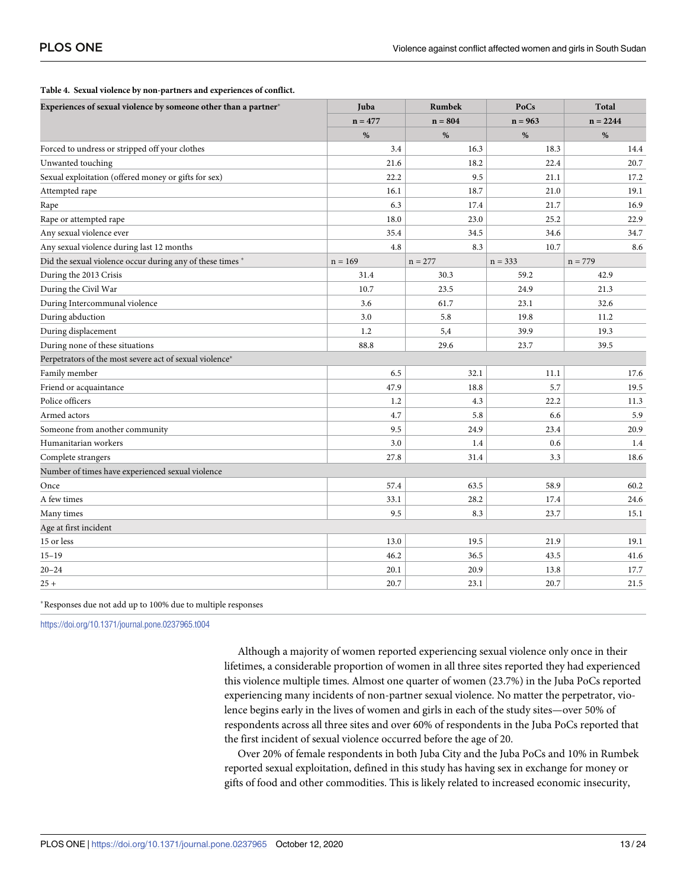| Experiences of sexual violence by someone other than a partner* | Juba      | <b>Rumbek</b> | PoCs      | <b>Total</b> |  |
|-----------------------------------------------------------------|-----------|---------------|-----------|--------------|--|
|                                                                 | $n = 477$ | $n = 804$     | $n = 963$ | $n = 2244$   |  |
|                                                                 | %         | $\%$          | $\%$      | %            |  |
| Forced to undress or stripped off your clothes                  | 3.4       | 16.3          | 18.3      | 14.4         |  |
| Unwanted touching                                               | 21.6      | 18.2          | 22.4      | 20.7         |  |
| Sexual exploitation (offered money or gifts for sex)            | 22.2      | 9.5           | 21.1      | 17.2         |  |
| Attempted rape                                                  | 16.1      | 18.7          | 21.0      | 19.1         |  |
| Rape                                                            | 6.3       | 17.4          | 21.7      | 16.9         |  |
| Rape or attempted rape                                          | 18.0      | 23.0          | 25.2      | 22.9         |  |
| Any sexual violence ever                                        | 35.4      | 34.5          | 34.6      | 34.7         |  |
| Any sexual violence during last 12 months                       | 4.8       | 8.3           | 10.7      | 8.6          |  |
| Did the sexual violence occur during any of these times *       | $n = 169$ | $n = 277$     | $n = 333$ | $n = 779$    |  |
| During the 2013 Crisis                                          | 31.4      | 30.3          | 59.2      | 42.9         |  |
| During the Civil War                                            | 10.7      | 23.5          | 24.9      | 21.3         |  |
| During Intercommunal violence                                   | 3.6       | 61.7          | 23.1      | 32.6         |  |
| During abduction                                                | 3.0       | 5.8           | 19.8      | 11.2         |  |
| During displacement                                             | 1.2       | 5,4           | 39.9      | 19.3         |  |
| During none of these situations                                 | 88.8      | 29.6          | 23.7      | 39.5         |  |
| Perpetrators of the most severe act of sexual violence*         |           |               |           |              |  |
| Family member                                                   | 6.5       | 32.1          | 11.1      | 17.6         |  |
| Friend or acquaintance                                          | 47.9      | 18.8          | 5.7       | 19.5         |  |
| Police officers                                                 | 1.2       | 4.3           | 22.2      | 11.3         |  |
| Armed actors                                                    | 4.7       | 5.8           | 6.6       | 5.9          |  |
| Someone from another community                                  | 9.5       | 24.9          | 23.4      | 20.9         |  |
| Humanitarian workers                                            | 3.0       | 1.4           | 0.6       | 1.4          |  |
| Complete strangers                                              | 27.8      | 31.4          | 3.3       | 18.6         |  |
| Number of times have experienced sexual violence                |           |               |           |              |  |
| Once                                                            | 57.4      | 63.5          | 58.9      | 60.2         |  |
| A few times                                                     | 33.1      | 28.2          | 17.4      | 24.6         |  |
| Many times                                                      | 9.5       | 8.3           | 23.7      | 15.1         |  |
| Age at first incident                                           |           |               |           |              |  |
| 15 or less                                                      | 13.0      | 19.5          | 21.9      | 19.1         |  |
| $15 - 19$                                                       | 46.2      | 36.5          | 43.5      | 41.6         |  |
| $20 - 24$                                                       | 20.1      | 20.9          | 13.8      | 17.7         |  |
| $25 +$                                                          | 20.7      | 23.1          | 20.7      | 21.5         |  |

#### <span id="page-12-0"></span>**[Table](#page-10-0) 4. Sexual violence by non-partners and experiences of conflict.**

�Responses due not add up to 100% due to multiple responses

<https://doi.org/10.1371/journal.pone.0237965.t004>

Although a majority of women reported experiencing sexual violence only once in their lifetimes, a considerable proportion of women in all three sites reported they had experienced this violence multiple times. Almost one quarter of women (23.7%) in the Juba PoCs reported experiencing many incidents of non-partner sexual violence. No matter the perpetrator, violence begins early in the lives of women and girls in each of the study sites—over 50% of respondents across all three sites and over 60% of respondents in the Juba PoCs reported that the first incident of sexual violence occurred before the age of 20.

Over 20% of female respondents in both Juba City and the Juba PoCs and 10% in Rumbek reported sexual exploitation, defined in this study has having sex in exchange for money or gifts of food and other commodities. This is likely related to increased economic insecurity,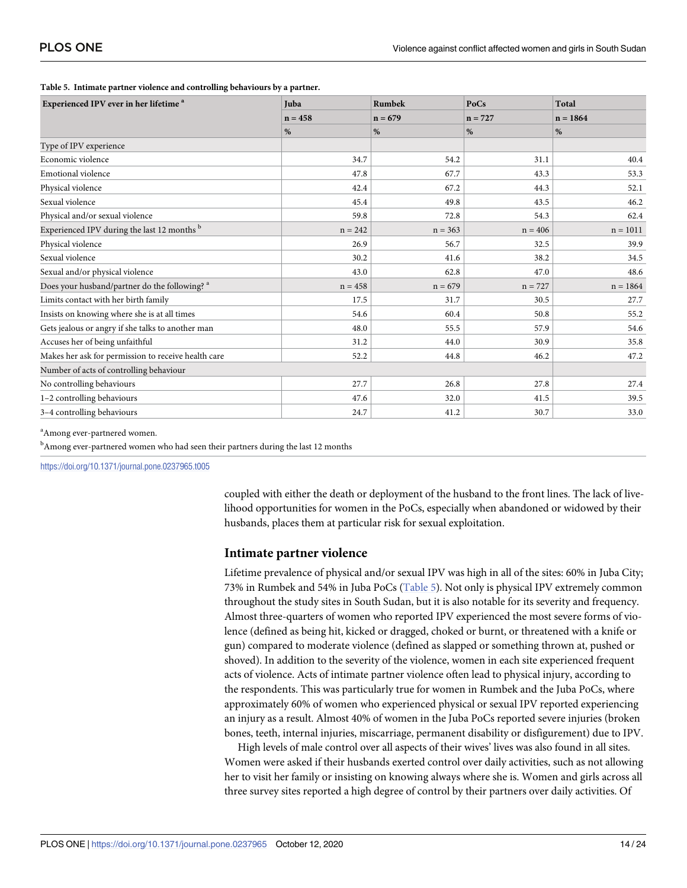| Experienced IPV ever in her lifetime <sup>a</sup>      | <b>Juba</b> | <b>Rumbek</b> | PoCs      | Total      |
|--------------------------------------------------------|-------------|---------------|-----------|------------|
|                                                        | $n = 458$   | $n = 679$     | $n = 727$ | $n = 1864$ |
|                                                        | %           | %             | %         | %          |
| Type of IPV experience                                 |             |               |           |            |
| Economic violence                                      | 34.7        | 54.2          | 31.1      | 40.4       |
| Emotional violence                                     | 47.8        | 67.7          | 43.3      | 53.3       |
| Physical violence                                      | 42.4        | 67.2          | 44.3      | 52.1       |
| Sexual violence                                        | 45.4        | 49.8          | 43.5      | 46.2       |
| Physical and/or sexual violence                        | 59.8        | 72.8          | 54.3      | 62.4       |
| Experienced IPV during the last 12 months <sup>b</sup> | $n = 242$   | $n = 363$     | $n = 406$ | $n = 1011$ |
| Physical violence                                      | 26.9        | 56.7          | 32.5      | 39.9       |
| Sexual violence                                        | 30.2        | 41.6          | 38.2      | 34.5       |
| Sexual and/or physical violence                        | 43.0        | 62.8          | 47.0      | 48.6       |
| Does your husband/partner do the following? a          | $n = 458$   | $n = 679$     | $n = 727$ | $n = 1864$ |
| Limits contact with her birth family                   | 17.5        | 31.7          | 30.5      | 27.7       |
| Insists on knowing where she is at all times           | 54.6        | 60.4          | 50.8      | 55.2       |
| Gets jealous or angry if she talks to another man      | 48.0        | 55.5          | 57.9      | 54.6       |
| Accuses her of being unfaithful                        | 31.2        | 44.0          | 30.9      | 35.8       |
| Makes her ask for permission to receive health care    | 52.2        | 44.8          | 46.2      | 47.2       |
| Number of acts of controlling behaviour                |             |               |           |            |
| No controlling behaviours                              | 27.7        | 26.8          | 27.8      | 27.4       |
| 1-2 controlling behaviours                             | 47.6        | 32.0          | 41.5      | 39.5       |
| 3-4 controlling behaviours                             | 24.7        | 41.2          | 30.7      | 33.0       |

#### **Table 5. Intimate partner violence and controlling behaviours by a partner.**

<sup>a</sup> Among ever-partnered women.

<sup>b</sup>Among ever-partnered women who had seen their partners during the last 12 months

<https://doi.org/10.1371/journal.pone.0237965.t005>

coupled with either the death or deployment of the husband to the front lines. The lack of livelihood opportunities for women in the PoCs, especially when abandoned or widowed by their husbands, places them at particular risk for sexual exploitation.

### **Intimate partner violence**

Lifetime prevalence of physical and/or sexual IPV was high in all of the sites: 60% in Juba City; 73% in Rumbek and 54% in Juba PoCs (Table 5). Not only is physical IPV extremely common throughout the study sites in South Sudan, but it is also notable for its severity and frequency. Almost three-quarters of women who reported IPV experienced the most severe forms of violence (defined as being hit, kicked or dragged, choked or burnt, or threatened with a knife or gun) compared to moderate violence (defined as slapped or something thrown at, pushed or shoved). In addition to the severity of the violence, women in each site experienced frequent acts of violence. Acts of intimate partner violence often lead to physical injury, according to the respondents. This was particularly true for women in Rumbek and the Juba PoCs, where approximately 60% of women who experienced physical or sexual IPV reported experiencing an injury as a result. Almost 40% of women in the Juba PoCs reported severe injuries (broken bones, teeth, internal injuries, miscarriage, permanent disability or disfigurement) due to IPV.

High levels of male control over all aspects of their wives' lives was also found in all sites. Women were asked if their husbands exerted control over daily activities, such as not allowing her to visit her family or insisting on knowing always where she is. Women and girls across all three survey sites reported a high degree of control by their partners over daily activities. Of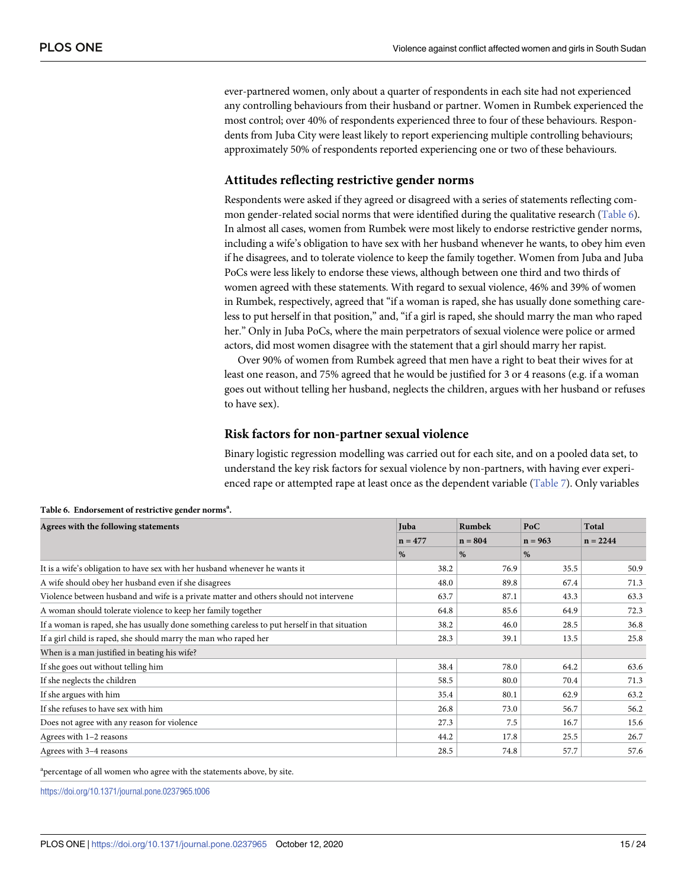<span id="page-14-0"></span>ever-partnered women, only about a quarter of respondents in each site had not experienced any controlling behaviours from their husband or partner. Women in Rumbek experienced the most control; over 40% of respondents experienced three to four of these behaviours. Respondents from Juba City were least likely to report experiencing multiple controlling behaviours; approximately 50% of respondents reported experiencing one or two of these behaviours.

# **Attitudes reflecting restrictive gender norms**

Respondents were asked if they agreed or disagreed with a series of statements reflecting common gender-related social norms that were identified during the qualitative research (Table 6). In almost all cases, women from Rumbek were most likely to endorse restrictive gender norms, including a wife's obligation to have sex with her husband whenever he wants, to obey him even if he disagrees, and to tolerate violence to keep the family together. Women from Juba and Juba PoCs were less likely to endorse these views, although between one third and two thirds of women agreed with these statements. With regard to sexual violence, 46% and 39% of women in Rumbek, respectively, agreed that "if a woman is raped, she has usually done something careless to put herself in that position," and, "if a girl is raped, she should marry the man who raped her." Only in Juba PoCs, where the main perpetrators of sexual violence were police or armed actors, did most women disagree with the statement that a girl should marry her rapist.

Over 90% of women from Rumbek agreed that men have a right to beat their wives for at least one reason, and 75% agreed that he would be justified for 3 or 4 reasons (e.g. if a woman goes out without telling her husband, neglects the children, argues with her husband or refuses to have sex).

# **Risk factors for non-partner sexual violence**

Binary logistic regression modelling was carried out for each site, and on a pooled data set, to understand the key risk factors for sexual violence by non-partners, with having ever experienced rape or attempted rape at least once as the dependent variable ([Table](#page-15-0) 7). Only variables

| Agrees with the following statements                                                          | Juba      | Rumbek    | PoC       | Total      |
|-----------------------------------------------------------------------------------------------|-----------|-----------|-----------|------------|
|                                                                                               | $n = 477$ | $n = 804$ | $n = 963$ | $n = 2244$ |
|                                                                                               | %         | %         | %         |            |
| It is a wife's obligation to have sex with her husband whenever he wants it                   | 38.2      | 76.9      | 35.5      | 50.9       |
| A wife should obey her husband even if she disagrees                                          | 48.0      | 89.8      | 67.4      | 71.3       |
| Violence between husband and wife is a private matter and others should not intervene         | 63.7      | 87.1      | 43.3      | 63.3       |
| A woman should tolerate violence to keep her family together                                  | 64.8      | 85.6      | 64.9      | 72.3       |
| If a woman is raped, she has usually done something careless to put herself in that situation | 38.2      | 46.0      | 28.5      | 36.8       |
| If a girl child is raped, she should marry the man who raped her                              |           | 39.1      | 13.5      | 25.8       |
| When is a man justified in beating his wife?                                                  |           |           |           |            |
| If she goes out without telling him                                                           | 38.4      | 78.0      | 64.2      | 63.6       |
| If she neglects the children                                                                  | 58.5      | 80.0      | 70.4      | 71.3       |
| If she argues with him                                                                        | 35.4      | 80.1      | 62.9      | 63.2       |
| If she refuses to have sex with him                                                           | 26.8      | 73.0      | 56.7      | 56.2       |
| Does not agree with any reason for violence                                                   | 27.3      | 7.5       | 16.7      | 15.6       |
| Agrees with 1-2 reasons                                                                       | 44.2      | 17.8      | 25.5      | 26.7       |
| Agrees with 3-4 reasons                                                                       | 28.5      | 74.8      | 57.7      | 57.6       |

Table 6. Endorsement of restrictive gender norms<sup>a</sup>.

<sup>a</sup>percentage of all women who agree with the statements above, by site.

<https://doi.org/10.1371/journal.pone.0237965.t006>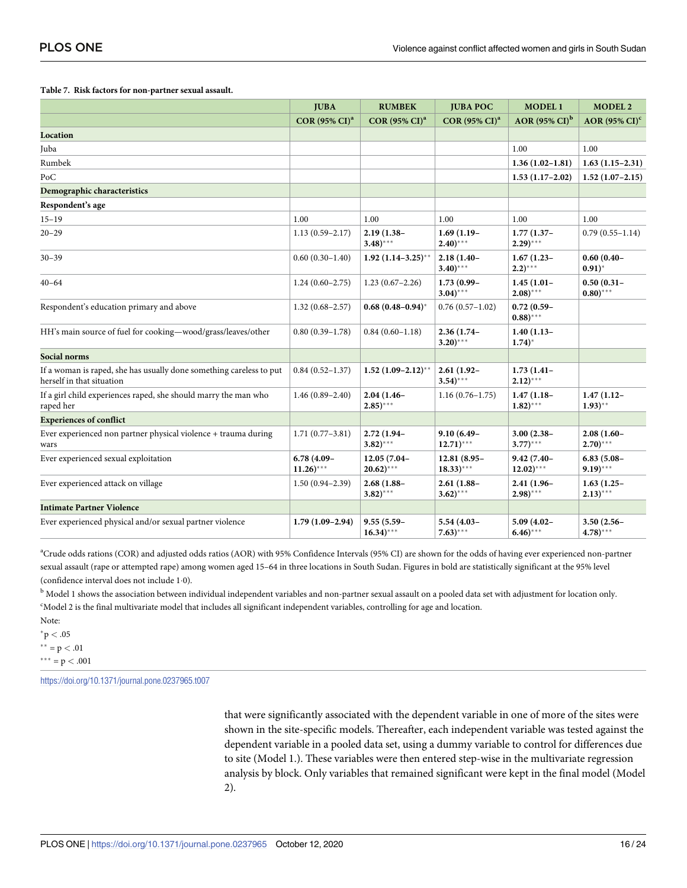<span id="page-15-0"></span>

| Table 7. Risk factors for non-partner sexual assault. |  |  |
|-------------------------------------------------------|--|--|
|-------------------------------------------------------|--|--|

|                                                                                                  | <b>JUBA</b>                   | <b>RUMBEK</b>                          | <b>JUBA POC</b>                        | <b>MODEL1</b>                           | <b>MODEL 2</b>                 |
|--------------------------------------------------------------------------------------------------|-------------------------------|----------------------------------------|----------------------------------------|-----------------------------------------|--------------------------------|
|                                                                                                  | $COR(95\% CI)^{a}$            | <b>COR (95% CI)<sup>a</sup></b>        | $COR(95\% CI)a$                        | AOR $(95\% \text{ CI})^b$               | $AOR$ (95% $CI$ ) <sup>c</sup> |
| Location                                                                                         |                               |                                        |                                        |                                         |                                |
| Juba                                                                                             |                               |                                        |                                        | 1.00                                    | 1.00                           |
| Rumbek                                                                                           |                               |                                        |                                        | $1.36(1.02 - 1.81)$                     | $1.63(1.15-2.31)$              |
| PoC                                                                                              |                               |                                        |                                        | $1.53(1.17-2.02)$                       | $1.52(1.07-2.15)$              |
| Demographic characteristics                                                                      |                               |                                        |                                        |                                         |                                |
| Respondent's age                                                                                 |                               |                                        |                                        |                                         |                                |
| $15 - 19$                                                                                        | 1.00                          | 1.00                                   | 1.00                                   | 1.00                                    | 1.00                           |
| $20 - 29$                                                                                        | $1.13(0.59 - 2.17)$           | $2.19(1.38 -$<br>$(3.48)$ ***          | $1.69(1.19-$<br>$(2.40)$ ***           | $1.77(1.37 -$<br>$(2.29)$ ***           | $0.79(0.55 - 1.14)$            |
| $30 - 39$                                                                                        | $0.60(0.30-1.40)$             | $1.92 (1.14 - 3.25)^{**}$              | $2.18(1.40 -$<br>$3.40$ )***           | $1.67(1.23 -$<br>$(2.2)$ ***            | $0.60(0.40 -$<br>$(0.91)^*$    |
| $40 - 64$                                                                                        | $1.24(0.60-2.75)$             | $1.23(0.67-2.26)$                      | $1.73(0.99 -$<br>$(3.04)$ ***          | $1.45(1.01 -$<br>$2.08$ )***            | $0.50(0.31 -$<br>$(0.80)$ ***  |
| Respondent's education primary and above                                                         | $1.32(0.68 - 2.57)$           | $0.68(0.48-0.94)^{*}$                  | $0.76(0.57-1.02)$                      | $0.72(0.59 -$<br>$(0.88)$ ***           |                                |
| HH's main source of fuel for cooking-wood/grass/leaves/other                                     | $0.80(0.39-1.78)$             | $0.84(0.60 - 1.18)$                    | $2.36(1.74 -$<br>$3.20$ )***           | $1.40(1.13-$<br>$1.74$ <sup>*</sup>     |                                |
| Social norms                                                                                     |                               |                                        |                                        |                                         |                                |
| If a woman is raped, she has usually done something careless to put<br>herself in that situation | $0.84(0.52 - 1.37)$           | $1.52$ $(1.09-2.12)$ **                | $2.61(1.92 -$<br>$(3.54)$ ***          | $1.73(1.41 -$<br>$(2.12)$ ***           |                                |
| If a girl child experiences raped, she should marry the man who<br>raped her                     | $1.46(0.89 - 2.40)$           | $2.04(1.46 -$<br>$(2.85)$ ***          | $1.16(0.76 - 1.75)$                    | $1.47(1.18 -$<br>$(1.82)$ ***           | $1.47(1.12 -$<br>$(1.93)$ **   |
| <b>Experiences of conflict</b>                                                                   |                               |                                        |                                        |                                         |                                |
| Ever experienced non partner physical violence + trauma during<br>wars                           | $1.71(0.77-3.81)$             | $2.72(1.94 -$<br>$(3.82)$ ***          | $9.10(6.49 -$<br>$12.71$ )***          | $3.00(2.38 -$<br>$3.77$ )***            | $2.08(1.60 -$<br>$(2.70)$ ***  |
| Ever experienced sexual exploitation                                                             | $6.78(4.09 -$<br>$11.26$ )*** | 12.05 (7.04-<br>$20.62$ <sup>***</sup> | 12.81 (8.95-<br>$(18.33)$ ***          | $9.42(7.40 -$<br>$12.02$ <sup>***</sup> | $6.83(5.08 -$<br>$9.19)***$    |
| Ever experienced attack on village                                                               | $1.50(0.94 - 2.39)$           | $2.68(1.88 -$<br>$(3.82)$ ***          | $2.61(1.88 -$<br>$3.62$ <sup>***</sup> | $2.41(1.96 -$<br>$(2.98)$ ***           | $1.63(1.25 -$<br>$(2.13)$ ***  |
| <b>Intimate Partner Violence</b>                                                                 |                               |                                        |                                        |                                         |                                |
| Ever experienced physical and/or sexual partner violence                                         | $1.79(1.09-2.94)$             | $9.55(5.59 -$<br>$16.34$ )***          | 5.54 (4.03-<br>$(7.63)$ ***            | $5.09(4.02 -$<br>$(6.46)$ ***           | $3.50(2.56 -$<br>$(4.78)$ ***  |

a Crude odds rations (COR) and adjusted odds ratios (AOR) with 95% Confidence Intervals (95% CI) are shown for the odds of having ever experienced non-partner sexual assault (rape or attempted rape) among women aged 15–64 in three locations in South Sudan. Figures in bold are statistically significant at the 95% level (confidence interval does not include 1�0).

<sup>b</sup> Model 1 shows the association between individual independent variables and non-partner sexual assault on a pooled data set with adjustment for location only. c Model 2 is the final multivariate model that includes all significant independent variables, controlling for age and location.

Note:

 $p < .05$  $*$  \* = p < .01  $*** = p < .001$ 

<https://doi.org/10.1371/journal.pone.0237965.t007>

that were significantly associated with the dependent variable in one of more of the sites were shown in the site-specific models. Thereafter, each independent variable was tested against the dependent variable in a pooled data set, using a dummy variable to control for differences due to site (Model 1.). These variables were then entered step-wise in the multivariate regression analysis by block. Only variables that remained significant were kept in the final model (Model 2).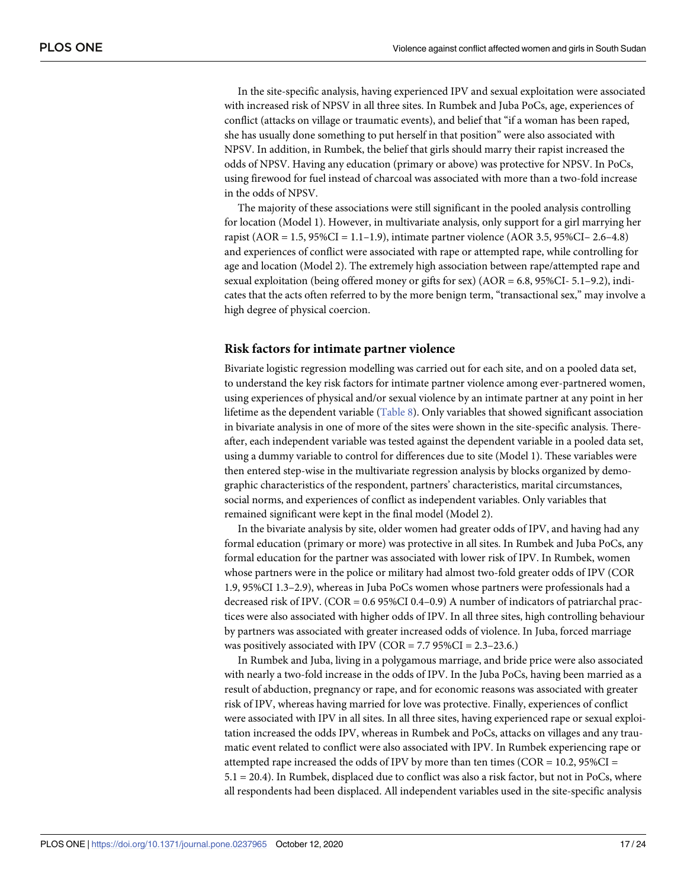<span id="page-16-0"></span>In the site-specific analysis, having experienced IPV and sexual exploitation were associated with increased risk of NPSV in all three sites. In Rumbek and Juba PoCs, age, experiences of conflict (attacks on village or traumatic events), and belief that "if a woman has been raped, she has usually done something to put herself in that position" were also associated with NPSV. In addition, in Rumbek, the belief that girls should marry their rapist increased the odds of NPSV. Having any education (primary or above) was protective for NPSV. In PoCs, using firewood for fuel instead of charcoal was associated with more than a two-fold increase in the odds of NPSV.

The majority of these associations were still significant in the pooled analysis controlling for location (Model 1). However, in multivariate analysis, only support for a girl marrying her rapist (AOR = 1.5,  $95\%CI = 1.1-1.9$ ), intimate partner violence (AOR 3.5,  $95\%CI - 2.6-4.8$ ) and experiences of conflict were associated with rape or attempted rape, while controlling for age and location (Model 2). The extremely high association between rape/attempted rape and sexual exploitation (being offered money or gifts for sex) (AOR = 6.8, 95%CI- 5.1–9.2), indicates that the acts often referred to by the more benign term, "transactional sex," may involve a high degree of physical coercion.

### **Risk factors for intimate partner violence**

Bivariate logistic regression modelling was carried out for each site, and on a pooled data set, to understand the key risk factors for intimate partner violence among ever-partnered women, using experiences of physical and/or sexual violence by an intimate partner at any point in her lifetime as the dependent variable ([Table](#page-17-0) 8). Only variables that showed significant association in bivariate analysis in one of more of the sites were shown in the site-specific analysis. Thereafter, each independent variable was tested against the dependent variable in a pooled data set, using a dummy variable to control for differences due to site (Model 1). These variables were then entered step-wise in the multivariate regression analysis by blocks organized by demographic characteristics of the respondent, partners' characteristics, marital circumstances, social norms, and experiences of conflict as independent variables. Only variables that remained significant were kept in the final model (Model 2).

In the bivariate analysis by site, older women had greater odds of IPV, and having had any formal education (primary or more) was protective in all sites. In Rumbek and Juba PoCs, any formal education for the partner was associated with lower risk of IPV. In Rumbek, women whose partners were in the police or military had almost two-fold greater odds of IPV (COR 1.9, 95%CI 1.3–2.9), whereas in Juba PoCs women whose partners were professionals had a decreased risk of IPV. (COR = 0.6 95%CI 0.4–0.9) A number of indicators of patriarchal practices were also associated with higher odds of IPV. In all three sites, high controlling behaviour by partners was associated with greater increased odds of violence. In Juba, forced marriage was positively associated with IPV (COR = 7.7 95%CI = 2.3–23.6.)

In Rumbek and Juba, living in a polygamous marriage, and bride price were also associated with nearly a two-fold increase in the odds of IPV. In the Juba PoCs, having been married as a result of abduction, pregnancy or rape, and for economic reasons was associated with greater risk of IPV, whereas having married for love was protective. Finally, experiences of conflict were associated with IPV in all sites. In all three sites, having experienced rape or sexual exploitation increased the odds IPV, whereas in Rumbek and PoCs, attacks on villages and any traumatic event related to conflict were also associated with IPV. In Rumbek experiencing rape or attempted rape increased the odds of IPV by more than ten times ( $COR = 10.2$ ,  $95\%CI =$ 5.1 = 20.4). In Rumbek, displaced due to conflict was also a risk factor, but not in PoCs, where all respondents had been displaced. All independent variables used in the site-specific analysis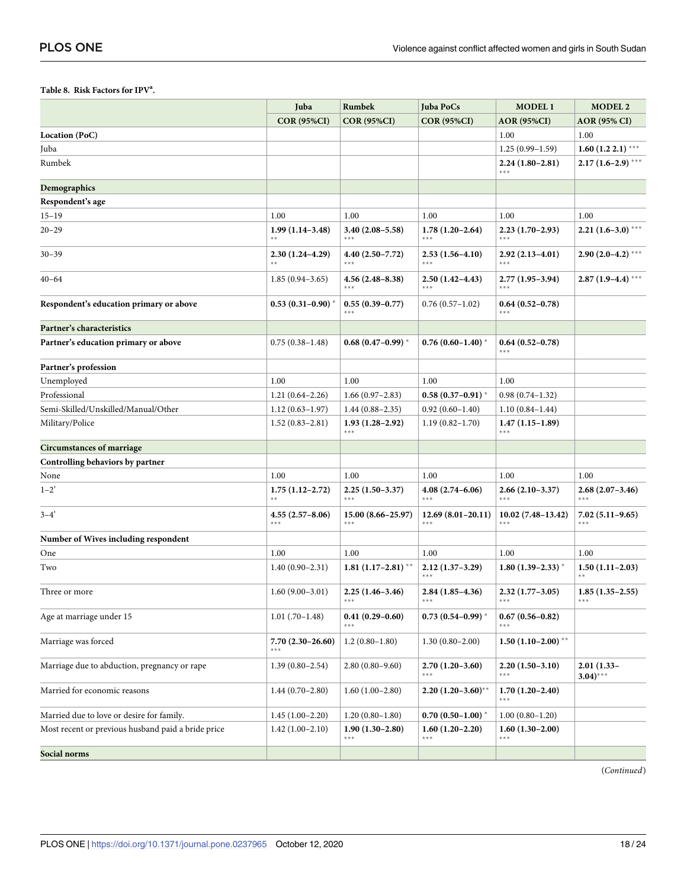### <span id="page-17-0"></span>Table 8. Risk Factors for IPV<sup>a</sup>.

|                                                    | Juba                       | Rumbek                         | <b>Juba PoCs</b>               | <b>MODEL1</b>              | <b>MODEL 2</b>               |
|----------------------------------------------------|----------------------------|--------------------------------|--------------------------------|----------------------------|------------------------------|
|                                                    | <b>COR (95%CI)</b>         | <b>COR (95%CI)</b>             | <b>COR (95%CI)</b>             | <b>AOR (95%CI)</b>         | <b>AOR</b> (95% CI)          |
| Location (PoC)                                     |                            |                                |                                | 1.00                       | 1.00                         |
| Juba                                               |                            |                                |                                | $1.25(0.99 - 1.59)$        | $1.60(1.22.1)$ ***           |
| Rumbek                                             |                            |                                |                                | $2.24(1.80-2.81)$<br>***   | $2.17(1.6-2.9)$ ***          |
| Demographics                                       |                            |                                |                                |                            |                              |
| Respondent's age                                   |                            |                                |                                |                            |                              |
| $15 - 19$                                          | 1.00                       | 1.00                           | 1.00                           | 1.00                       | 1.00                         |
| $20 - 29$                                          | $1.99(1.14-3.48)$          | $3.40(2.08 - 5.58)$            | $1.78(1.20-2.64)$              | $2.23(1.70-2.93)$          | $2.21(1.6-3.0)$ ***          |
| $30 - 39$                                          | $2.30(1.24 - 4.29)$        | $4.40(2.50 - 7.72)$<br>***     | $2.53(1.56-4.10)$<br>***       | $2.92(2.13 - 4.01)$<br>*** | $2.90(2.0-4.2)$ ***          |
| $40 - 64$                                          | $1.85(0.94-3.65)$          | $4.56(2.48 - 8.38)$<br>***     | $2.50(1.42 - 4.43)$<br>$* * *$ | $2.77(1.95-3.94)$<br>***   | $2.87(1.9-4.4)$ ***          |
| Respondent's education primary or above            | $0.53(0.31-0.90)$ *        | $0.55(0.39-0.77)$              | $0.76(0.57-1.02)$              | $0.64(0.52 - 0.78)$        |                              |
| Partner's characteristics                          |                            |                                |                                |                            |                              |
| Partner's education primary or above               | $0.75(0.38 - 1.48)$        | $0.68(0.47-0.99)^{*}$          | $0.76(0.60-1.40)$              | $0.64(0.52-0.78)$<br>***   |                              |
| Partner's profession                               |                            |                                |                                |                            |                              |
| Unemployed                                         | 1.00                       | 1.00                           | 1.00                           | 1.00                       |                              |
| Professional                                       | $1.21(0.64 - 2.26)$        | $1.66(0.97-2.83)$              | $0.58(0.37-0.91)$              | $0.98(0.74 - 1.32)$        |                              |
| Semi-Skilled/Unskilled/Manual/Other                | $1.12(0.63 - 1.97)$        | $1.44(0.88 - 2.35)$            | $0.92(0.60 - 1.40)$            | $1.10(0.84-1.44)$          |                              |
| Military/Police                                    | $1.52(0.83 - 2.81)$        | $1.93(1.28-2.92)$<br>***       | $1.19(0.82 - 1.70)$            | $1.47(1.15-1.89)$<br>***   |                              |
| <b>Circumstances of marriage</b>                   |                            |                                |                                |                            |                              |
| Controlling behaviors by partner                   |                            |                                |                                |                            |                              |
| None                                               | 1.00                       | 1.00                           | 1.00                           | 1.00                       | 1.00                         |
| $1 - 2$ <sup>2</sup>                               | $1.75(1.12 - 2.72)$<br>**  | $2.25(1.50-3.37)$<br>***       | 4.08 (2.74–6.06)<br>$***$      | $2.66(2.10-3.37)$<br>***   | $2.68(2.07-3.46)$<br>$***$   |
| $3 - 4'$                                           | $4.55(2.57 - 8.06)$<br>*** | $15.00(8.66 - 25.97)$<br>$***$ | $12.69(8.01-20.11)$<br>$***$   | $10.02(7.48-13.42)$<br>*** | $7.02(5.11-9.65)$<br>$***$   |
| Number of Wives including respondent               |                            |                                |                                |                            |                              |
| One                                                | 1.00                       | 1.00                           | 1.00                           | 1.00                       | 1.00                         |
| Two                                                | $1.40(0.90 - 2.31)$        | $1.81(1.17-2.81)$ **           | $2.12(1.37-3.29)$<br>***       | $1.80(1.39-2.33)$ *        | $1.50(1.11-2.03)$            |
| Three or more                                      | $1.60(9.00-3.01)$          | $2.25(1.46-3.46)$              | $2.84(1.85-4.36)$              | $2.32(1.77-3.05)$          | $1.85(1.35-2.55)$            |
| Age at marriage under 15                           | $1.01(.70-1.48)$           | $0.41(0.29 - 0.60)$            | $0.73$ $(0.54 - 0.99)$ *       | $0.67(0.56 - 0.82)$        |                              |
| Marriage was forced                                | $7.70(2.30-26.60)$<br>***  | $1.2(0.80-1.80)$               | $1.30(0.80-2.00)$              | $1.50(1.10-2.00)$ **       |                              |
| Marriage due to abduction, pregnancy or rape       | $1.39(0.80 - 2.54)$        | $2.80(0.80 - 9.60)$            | $2.70(1.20-3.60)$              | $2.20(1.50-3.10)$<br>$***$ | $2.01(1.33 -$<br>$3.04$ )*** |
| Married for economic reasons                       | $1.44(0.70-2.80)$          | $1.60(1.00-2.80)$              | $2.20(1.20-3.60)$ **           | $1.70(1.20-2.40)$<br>***   |                              |
| Married due to love or desire for family.          | $1.45(1.00-2.20)$          | $1.20(0.80-1.80)$              | $0.70(0.50-1.00)$              | $1.00(0.80-1.20)$          |                              |
| Most recent or previous husband paid a bride price | $1.42(1.00-2.10)$          | $1.90(1.30-2.80)$<br>***       | $1.60(1.20-2.20)$<br>$***$     | $1.60(1.30-2.00)$<br>***   |                              |
| Social norms                                       |                            |                                |                                |                            |                              |

(Continued)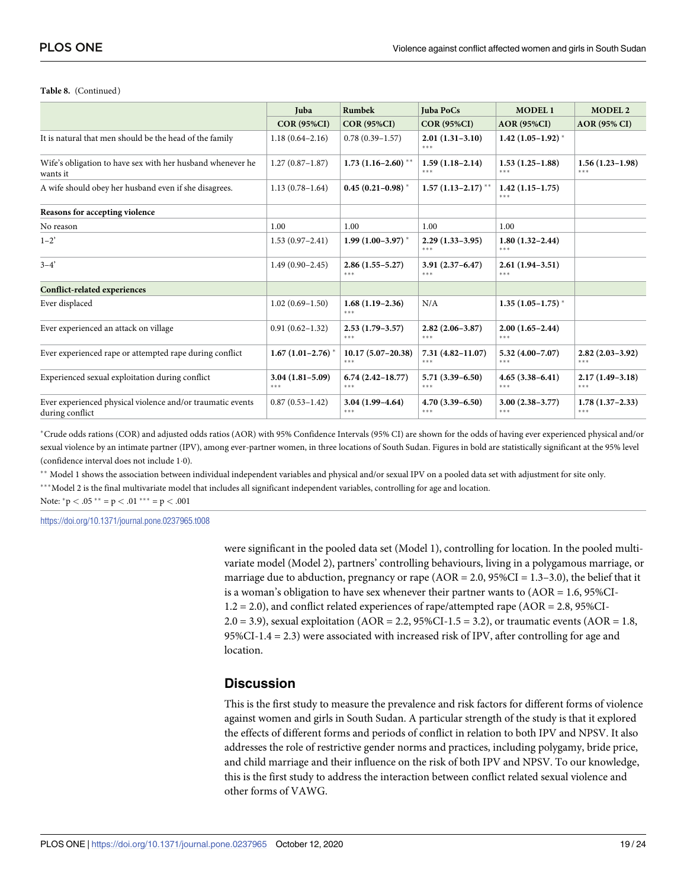#### **Table 8.** (Continued)

|                                                                               | Juba                           | <b>Rumbek</b>                    | <b>Juba PoCs</b>               | <b>MODEL1</b>              | MODEL <sub>2</sub>             |
|-------------------------------------------------------------------------------|--------------------------------|----------------------------------|--------------------------------|----------------------------|--------------------------------|
|                                                                               | <b>COR (95%CI)</b>             | <b>COR (95%CI)</b>               | <b>COR (95%CI)</b>             | <b>AOR (95%CI)</b>         | <b>AOR (95% CI)</b>            |
| It is natural that men should be the head of the family                       | $1.18(0.64 - 2.16)$            | $0.78(0.39 - 1.57)$              | $2.01(1.31-3.10)$<br>***       | $1.42(1.05-1.92)^{*}$      |                                |
| Wife's obligation to have sex with her husband whenever he<br>wants it        | $1.27(0.87 - 1.87)$            | $1.73$ (1.16-2.60) <sup>**</sup> | $1.59(1.18-2.14)$<br>***       | $1.53(1.25-1.88)$<br>***   | $1.56(1.23-1.98)$<br>***       |
| A wife should obey her husband even if she disagrees.                         | $1.13(0.78 - 1.64)$            | $0.45(0.21 - 0.98)$ *            | $1.57(1.13-2.17)$ **           | $1.42(1.15-1.75)$<br>***   |                                |
| Reasons for accepting violence                                                |                                |                                  |                                |                            |                                |
| No reason                                                                     | 1.00                           | 1.00                             | 1.00                           | 1.00                       |                                |
| $1 - 2'$                                                                      | $1.53(0.97 - 2.41)$            | $1.99(1.00-3.97)$ *              | $2.29(1.33-3.95)$<br>***       | $1.80(1.32 - 2.44)$<br>*** |                                |
| $3 - 4'$                                                                      | $1.49(0.90 - 2.45)$            | $2.86(1.55 - 5.27)$<br>***       | $3.91(2.37 - 6.47)$<br>***     | $2.61(1.94-3.51)$<br>***   |                                |
| <b>Conflict-related experiences</b>                                           |                                |                                  |                                |                            |                                |
| Ever displaced                                                                | $1.02(0.69 - 1.50)$            | $1.68(1.19-2.36)$<br>***         | N/A                            | $1.35(1.05-1.75)$ *        |                                |
| Ever experienced an attack on village                                         | $0.91(0.62 - 1.32)$            | $2.53(1.79-3.57)$<br>***         | $2.82(2.06-3.87)$<br>***       | $2.00(1.65-2.44)$<br>***   |                                |
| Ever experienced rape or attempted rape during conflict                       | $1.67(1.01-2.76)$ <sup>*</sup> | $10.17(5.07-20.38)$<br>***       | $7.31(4.82 - 11.07)$<br>***    | $5.32(4.00 - 7.07)$<br>*** | $2.82(2.03 - 3.92)$<br>$* * *$ |
| Experienced sexual exploitation during conflict                               | $3.04(1.81 - 5.09)$<br>***     | $6.74(2.42 - 18.77)$<br>***      | $5.71(3.39 - 6.50)$<br>$* * *$ | $4.65(3.38-6.41)$<br>***   | $2.17(1.49-3.18)$<br>$* * *$   |
| Ever experienced physical violence and/or traumatic events<br>during conflict | $0.87(0.53 - 1.42)$            | $3.04(1.99-4.64)$<br>***         | $4.70(3.39 - 6.50)$<br>***     | $3.00(2.38-3.77)$<br>***   | $1.78(1.37-2.33)$<br>$* * *$   |

�Crude odds rations (COR) and adjusted odds ratios (AOR) with 95% Confidence Intervals (95% CI) are shown for the odds of having ever experienced physical and/or sexual violence by an intimate partner (IPV), among ever-partner women, in three locations of South Sudan. Figures in bold are statistically significant at the 95% level (confidence interval does not include 1�0).

�� Model 1 shows the association between individual independent variables and physical and/or sexual IPV on a pooled data set with adjustment for site only.

\*\*\*Model 2 is the final multivariate model that includes all significant independent variables, controlling for age and location.

Note:  ${}^*p < .05$   ${}^{**} = p < .01$   ${}^{***} = p < .001$ 

<https://doi.org/10.1371/journal.pone.0237965.t008>

were significant in the pooled data set (Model 1), controlling for location. In the pooled multivariate model (Model 2), partners' controlling behaviours, living in a polygamous marriage, or marriage due to abduction, pregnancy or rape  $(AOR = 2.0, 95\%CI = 1.3-3.0)$ , the belief that it is a woman's obligation to have sex whenever their partner wants to  $(AOR = 1.6, 95\%CI$ 1.2 = 2.0), and conflict related experiences of rape/attempted rape (AOR = 2.8, 95%CI-2.0 = 3.9), sexual exploitation (AOR = 2.2,  $95\%CI-1.5 = 3.2$ ), or traumatic events (AOR = 1.8, 95%CI-1.4 = 2.3) were associated with increased risk of IPV, after controlling for age and location.

# **Discussion**

This is the first study to measure the prevalence and risk factors for different forms of violence against women and girls in South Sudan. A particular strength of the study is that it explored the effects of different forms and periods of conflict in relation to both IPV and NPSV. It also addresses the role of restrictive gender norms and practices, including polygamy, bride price, and child marriage and their influence on the risk of both IPV and NPSV. To our knowledge, this is the first study to address the interaction between conflict related sexual violence and other forms of VAWG.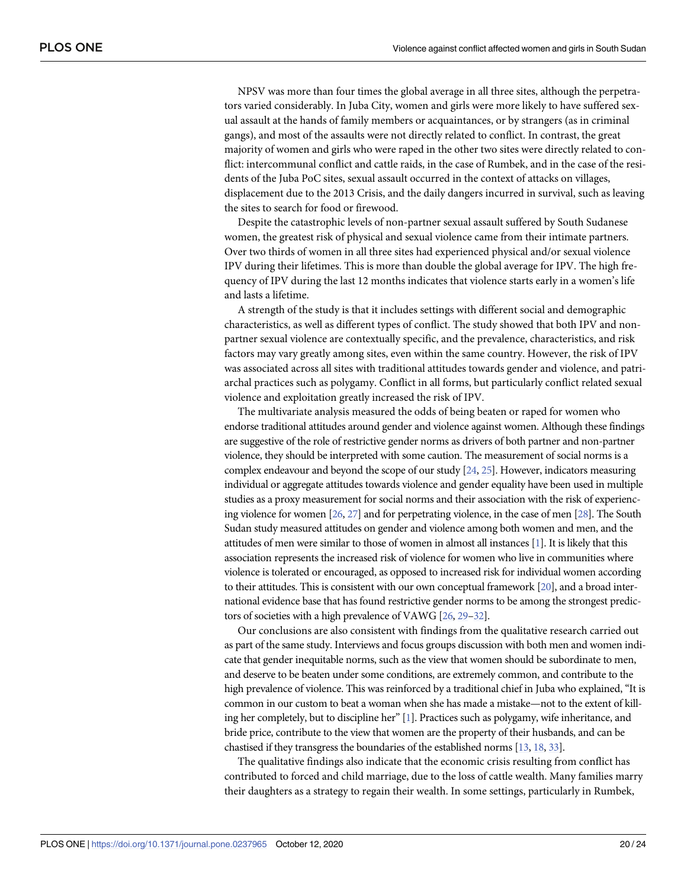<span id="page-19-0"></span>NPSV was more than four times the global average in all three sites, although the perpetrators varied considerably. In Juba City, women and girls were more likely to have suffered sexual assault at the hands of family members or acquaintances, or by strangers (as in criminal gangs), and most of the assaults were not directly related to conflict. In contrast, the great majority of women and girls who were raped in the other two sites were directly related to conflict: intercommunal conflict and cattle raids, in the case of Rumbek, and in the case of the residents of the Juba PoC sites, sexual assault occurred in the context of attacks on villages, displacement due to the 2013 Crisis, and the daily dangers incurred in survival, such as leaving the sites to search for food or firewood.

Despite the catastrophic levels of non-partner sexual assault suffered by South Sudanese women, the greatest risk of physical and sexual violence came from their intimate partners. Over two thirds of women in all three sites had experienced physical and/or sexual violence IPV during their lifetimes. This is more than double the global average for IPV. The high frequency of IPV during the last 12 months indicates that violence starts early in a women's life and lasts a lifetime.

A strength of the study is that it includes settings with different social and demographic characteristics, as well as different types of conflict. The study showed that both IPV and nonpartner sexual violence are contextually specific, and the prevalence, characteristics, and risk factors may vary greatly among sites, even within the same country. However, the risk of IPV was associated across all sites with traditional attitudes towards gender and violence, and patriarchal practices such as polygamy. Conflict in all forms, but particularly conflict related sexual violence and exploitation greatly increased the risk of IPV.

The multivariate analysis measured the odds of being beaten or raped for women who endorse traditional attitudes around gender and violence against women. Although these findings are suggestive of the role of restrictive gender norms as drivers of both partner and non-partner violence, they should be interpreted with some caution. The measurement of social norms is a complex endeavour and beyond the scope of our study [[24,](#page-23-0) [25](#page-23-0)]. However, indicators measuring individual or aggregate attitudes towards violence and gender equality have been used in multiple studies as a proxy measurement for social norms and their association with the risk of experiencing violence for women [\[26](#page-23-0), [27\]](#page-23-0) and for perpetrating violence, in the case of men [\[28](#page-23-0)]. The South Sudan study measured attitudes on gender and violence among both women and men, and the attitudes of men were similar to those of women in almost all instances [\[1\]](#page-21-0). It is likely that this association represents the increased risk of violence for women who live in communities where violence is tolerated or encouraged, as opposed to increased risk for individual women according to their attitudes. This is consistent with our own conceptual framework [\[20](#page-22-0)], and a broad international evidence base that has found restrictive gender norms to be among the strongest predictors of societies with a high prevalence of VAWG [\[26,](#page-23-0) [29–32](#page-23-0)].

Our conclusions are also consistent with findings from the qualitative research carried out as part of the same study. Interviews and focus groups discussion with both men and women indicate that gender inequitable norms, such as the view that women should be subordinate to men, and deserve to be beaten under some conditions, are extremely common, and contribute to the high prevalence of violence. This was reinforced by a traditional chief in Juba who explained, "It is common in our custom to beat a woman when she has made a mistake—not to the extent of killing her completely, but to discipline her" [\[1](#page-21-0)]. Practices such as polygamy, wife inheritance, and bride price, contribute to the view that women are the property of their husbands, and can be chastised if they transgress the boundaries of the established norms [\[13](#page-22-0), [18,](#page-22-0) [33](#page-23-0)].

The qualitative findings also indicate that the economic crisis resulting from conflict has contributed to forced and child marriage, due to the loss of cattle wealth. Many families marry their daughters as a strategy to regain their wealth. In some settings, particularly in Rumbek,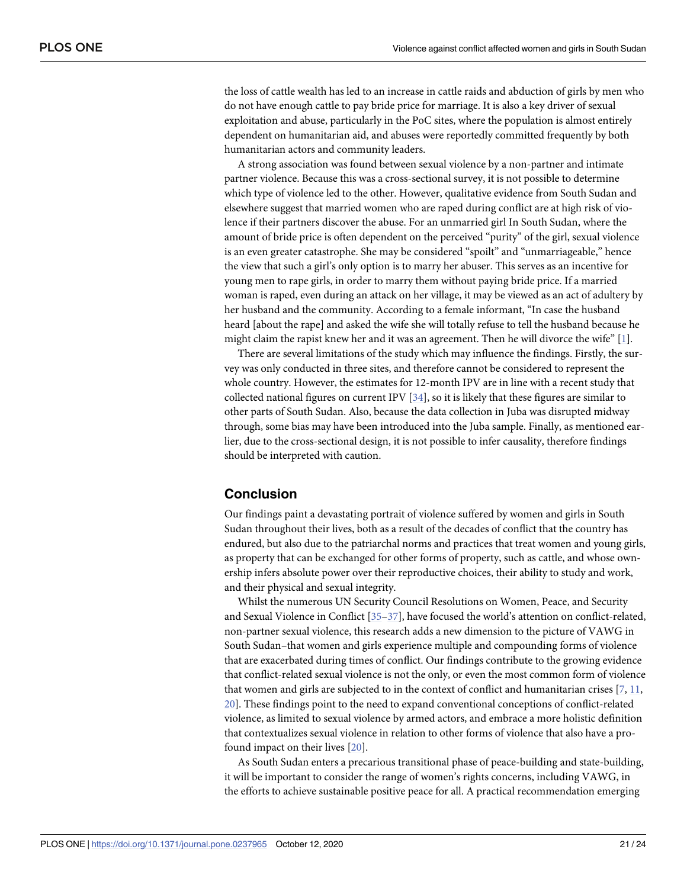<span id="page-20-0"></span>the loss of cattle wealth has led to an increase in cattle raids and abduction of girls by men who do not have enough cattle to pay bride price for marriage. It is also a key driver of sexual exploitation and abuse, particularly in the PoC sites, where the population is almost entirely dependent on humanitarian aid, and abuses were reportedly committed frequently by both humanitarian actors and community leaders.

A strong association was found between sexual violence by a non-partner and intimate partner violence. Because this was a cross-sectional survey, it is not possible to determine which type of violence led to the other. However, qualitative evidence from South Sudan and elsewhere suggest that married women who are raped during conflict are at high risk of violence if their partners discover the abuse. For an unmarried girl In South Sudan, where the amount of bride price is often dependent on the perceived "purity" of the girl, sexual violence is an even greater catastrophe. She may be considered "spoilt" and "unmarriageable," hence the view that such a girl's only option is to marry her abuser. This serves as an incentive for young men to rape girls, in order to marry them without paying bride price. If a married woman is raped, even during an attack on her village, it may be viewed as an act of adultery by her husband and the community. According to a female informant, "In case the husband heard [about the rape] and asked the wife she will totally refuse to tell the husband because he might claim the rapist knew her and it was an agreement. Then he will divorce the wife"  $[1]$  $[1]$ .

There are several limitations of the study which may influence the findings. Firstly, the survey was only conducted in three sites, and therefore cannot be considered to represent the whole country. However, the estimates for 12-month IPV are in line with a recent study that collected national figures on current IPV [[34](#page-23-0)], so it is likely that these figures are similar to other parts of South Sudan. Also, because the data collection in Juba was disrupted midway through, some bias may have been introduced into the Juba sample. Finally, as mentioned earlier, due to the cross-sectional design, it is not possible to infer causality, therefore findings should be interpreted with caution.

# **Conclusion**

Our findings paint a devastating portrait of violence suffered by women and girls in South Sudan throughout their lives, both as a result of the decades of conflict that the country has endured, but also due to the patriarchal norms and practices that treat women and young girls, as property that can be exchanged for other forms of property, such as cattle, and whose ownership infers absolute power over their reproductive choices, their ability to study and work, and their physical and sexual integrity.

Whilst the numerous UN Security Council Resolutions on Women, Peace, and Security and Sexual Violence in Conflict [[35–37\]](#page-23-0), have focused the world's attention on conflict-related, non-partner sexual violence, this research adds a new dimension to the picture of VAWG in South Sudan–that women and girls experience multiple and compounding forms of violence that are exacerbated during times of conflict. Our findings contribute to the growing evidence that conflict-related sexual violence is not the only, or even the most common form of violence that women and girls are subjected to in the context of conflict and humanitarian crises [\[7,](#page-22-0) [11,](#page-22-0) [20\]](#page-22-0). These findings point to the need to expand conventional conceptions of conflict-related violence, as limited to sexual violence by armed actors, and embrace a more holistic definition that contextualizes sexual violence in relation to other forms of violence that also have a profound impact on their lives [[20](#page-22-0)].

As South Sudan enters a precarious transitional phase of peace-building and state-building, it will be important to consider the range of women's rights concerns, including VAWG, in the efforts to achieve sustainable positive peace for all. A practical recommendation emerging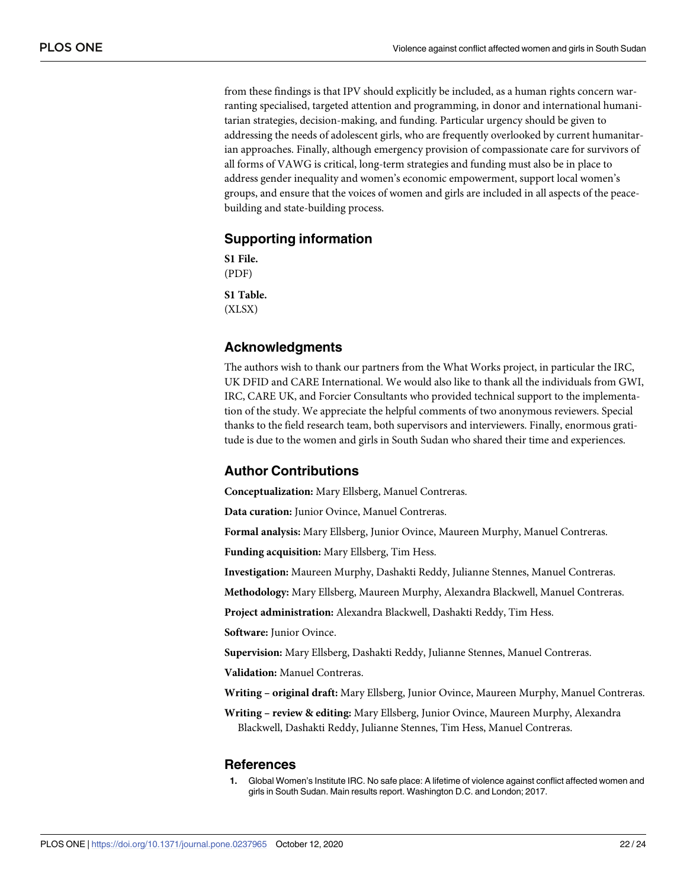<span id="page-21-0"></span>from these findings is that IPV should explicitly be included, as a human rights concern warranting specialised, targeted attention and programming, in donor and international humanitarian strategies, decision-making, and funding. Particular urgency should be given to addressing the needs of adolescent girls, who are frequently overlooked by current humanitarian approaches. Finally, although emergency provision of compassionate care for survivors of all forms of VAWG is critical, long-term strategies and funding must also be in place to address gender inequality and women's economic empowerment, support local women's groups, and ensure that the voices of women and girls are included in all aspects of the peacebuilding and state-building process.

# **Supporting information**

**S1 [File.](http://www.plosone.org/article/fetchSingleRepresentation.action?uri=info:doi/10.1371/journal.pone.0237965.s001)** (PDF) **S1 [Table.](http://www.plosone.org/article/fetchSingleRepresentation.action?uri=info:doi/10.1371/journal.pone.0237965.s002)** (XLSX)

# **Acknowledgments**

The authors wish to thank our partners from the What Works project, in particular the IRC, UK DFID and CARE International. We would also like to thank all the individuals from GWI, IRC, CARE UK, and Forcier Consultants who provided technical support to the implementation of the study. We appreciate the helpful comments of two anonymous reviewers. Special thanks to the field research team, both supervisors and interviewers. Finally, enormous gratitude is due to the women and girls in South Sudan who shared their time and experiences.

# **Author Contributions**

**Conceptualization:** Mary Ellsberg, Manuel Contreras.

**Data curation:** Junior Ovince, Manuel Contreras.

**Formal analysis:** Mary Ellsberg, Junior Ovince, Maureen Murphy, Manuel Contreras.

**Funding acquisition:** Mary Ellsberg, Tim Hess.

**Investigation:** Maureen Murphy, Dashakti Reddy, Julianne Stennes, Manuel Contreras.

**Methodology:** Mary Ellsberg, Maureen Murphy, Alexandra Blackwell, Manuel Contreras.

**Project administration:** Alexandra Blackwell, Dashakti Reddy, Tim Hess.

**Software:** Junior Ovince.

**Supervision:** Mary Ellsberg, Dashakti Reddy, Julianne Stennes, Manuel Contreras.

**Validation:** Manuel Contreras.

**Writing – original draft:** Mary Ellsberg, Junior Ovince, Maureen Murphy, Manuel Contreras.

**Writing – review & editing:** Mary Ellsberg, Junior Ovince, Maureen Murphy, Alexandra Blackwell, Dashakti Reddy, Julianne Stennes, Tim Hess, Manuel Contreras.

### **References**

**[1](#page-1-0).** Global Women's Institute IRC. No safe place: A lifetime of violence against conflict affected women and girls in South Sudan. Main results report. Washington D.C. and London; 2017.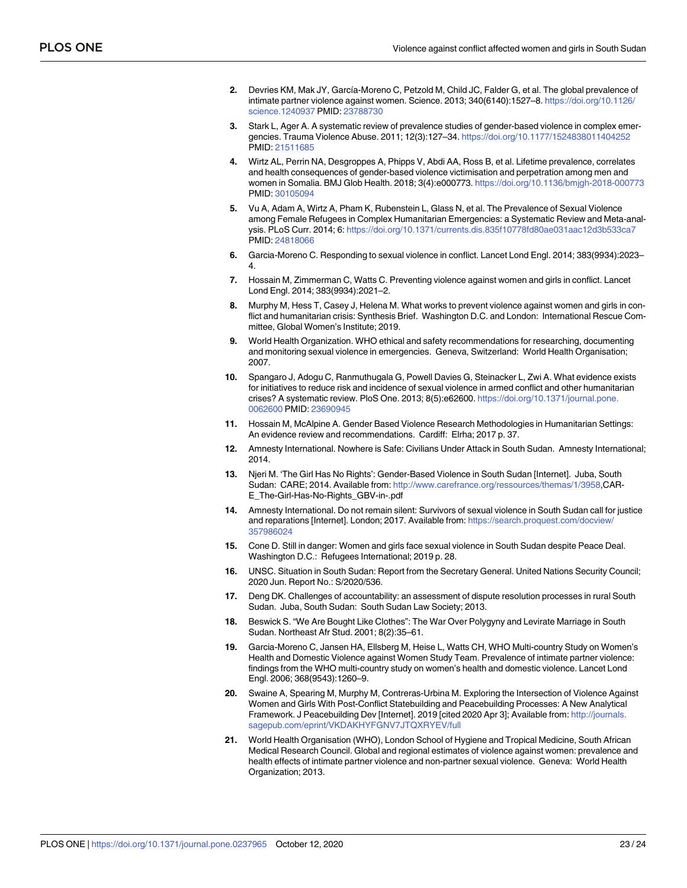- <span id="page-22-0"></span>**[2](#page-1-0).** Devries KM, Mak JY, García-Moreno C, Petzold M, Child JC, Falder G, et al. The global prevalence of intimate partner violence against women. Science. 2013; 340(6140):1527–8. [https://doi.org/10.1126/](https://doi.org/10.1126/science.1240937) [science.1240937](https://doi.org/10.1126/science.1240937) PMID: [23788730](http://www.ncbi.nlm.nih.gov/pubmed/23788730)
- **[3](#page-1-0).** Stark L, Ager A. A systematic review of prevalence studies of gender-based violence in complex emergencies. Trauma Violence Abuse. 2011; 12(3):127–34. <https://doi.org/10.1177/1524838011404252> PMID: [21511685](http://www.ncbi.nlm.nih.gov/pubmed/21511685)
- **[4](#page-1-0).** Wirtz AL, Perrin NA, Desgroppes A, Phipps V, Abdi AA, Ross B, et al. Lifetime prevalence, correlates and health consequences of gender-based violence victimisation and perpetration among men and women in Somalia. BMJ Glob Health. 2018; 3(4):e000773. <https://doi.org/10.1136/bmjgh-2018-000773> PMID: [30105094](http://www.ncbi.nlm.nih.gov/pubmed/30105094)
- **[5](#page-1-0).** Vu A, Adam A, Wirtz A, Pham K, Rubenstein L, Glass N, et al. The Prevalence of Sexual Violence among Female Refugees in Complex Humanitarian Emergencies: a Systematic Review and Meta-analysis. PLoS Curr. 2014; 6: <https://doi.org/10.1371/currents.dis.835f10778fd80ae031aac12d3b533ca7> PMID: [24818066](http://www.ncbi.nlm.nih.gov/pubmed/24818066)
- **[6](#page-1-0).** Garcia-Moreno C. Responding to sexual violence in conflict. Lancet Lond Engl. 2014; 383(9934):2023– 4.
- **[7](#page-20-0).** Hossain M, Zimmerman C, Watts C. Preventing violence against women and girls in conflict. Lancet Lond Engl. 2014; 383(9934):2021–2.
- **[8](#page-1-0).** Murphy M, Hess T, Casey J, Helena M. What works to prevent violence against women and girls in conflict and humanitarian crisis: Synthesis Brief. Washington D.C. and London: International Rescue Committee, Global Women's Institute; 2019.
- **[9](#page-1-0).** World Health Organization. WHO ethical and safety recommendations for researching, documenting and monitoring sexual violence in emergencies. Geneva, Switzerland: World Health Organisation; 2007.
- **[10](#page-1-0).** Spangaro J, Adogu C, Ranmuthugala G, Powell Davies G, Steinacker L, Zwi A. What evidence exists for initiatives to reduce risk and incidence of sexual violence in armed conflict and other humanitarian crises? A systematic review. PloS One. 2013; 8(5):e62600. [https://doi.org/10.1371/journal.pone.](https://doi.org/10.1371/journal.pone.0062600) [0062600](https://doi.org/10.1371/journal.pone.0062600) PMID: [23690945](http://www.ncbi.nlm.nih.gov/pubmed/23690945)
- **[11](#page-1-0).** Hossain M, McAlpine A. Gender Based Violence Research Methodologies in Humanitarian Settings: An evidence review and recommendations. Cardiff: Elrha; 2017 p. 37.
- **[12](#page-1-0).** Amnesty International. Nowhere is Safe: Civilians Under Attack in South Sudan. Amnesty International; 2014.
- **[13](#page-2-0).** Njeri M. 'The Girl Has No Rights': Gender-Based Violence in South Sudan [Internet]. Juba, South Sudan: CARE; 2014. Available from: <http://www.carefrance.org/ressources/themas/1/3958>,CAR-E\_The-Girl-Has-No-Rights\_GBV-in-.pdf
- **[14](#page-2-0).** Amnesty International. Do not remain silent: Survivors of sexual violence in South Sudan call for justice and reparations [Internet]. London; 2017. Available from: [https://search.proquest.com/docview/](https://search.proquest.com/docview/357986024) [357986024](https://search.proquest.com/docview/357986024)
- **[15](#page-2-0).** Cone D. Still in danger: Women and girls face sexual violence in South Sudan despite Peace Deal. Washington D.C.: Refugees International; 2019 p. 28.
- **[16](#page-2-0).** UNSC. Situation in South Sudan: Report from the Secretary General. United Nations Security Council; 2020 Jun. Report No.: S/2020/536.
- **[17](#page-2-0).** Deng DK. Challenges of accountability: an assessment of dispute resolution processes in rural South Sudan. Juba, South Sudan: South Sudan Law Society; 2013.
- **[18](#page-2-0).** Beswick S. "We Are Bought Like Clothes": The War Over Polygyny and Levirate Marriage in South Sudan. Northeast Afr Stud. 2001; 8(2):35–61.
- **[19](#page-2-0).** Garcia-Moreno C, Jansen HA, Ellsberg M, Heise L, Watts CH, WHO Multi-country Study on Women's Health and Domestic Violence against Women Study Team. Prevalence of intimate partner violence: findings from the WHO multi-country study on women's health and domestic violence. Lancet Lond Engl. 2006; 368(9543):1260–9.
- **[20](#page-3-0).** Swaine A, Spearing M, Murphy M, Contreras-Urbina M. Exploring the Intersection of Violence Against Women and Girls With Post-Conflict Statebuilding and Peacebuilding Processes: A New Analytical Framework. J Peacebuilding Dev [Internet]. 2019 [cited 2020 Apr 3]; Available from: [http://journals.](http://journals.sagepub.com/eprint/VKDAKHYFGNV7JTQXRYEV/full) [sagepub.com/eprint/VKDAKHYFGNV7JTQXRYEV/full](http://journals.sagepub.com/eprint/VKDAKHYFGNV7JTQXRYEV/full)
- **[21](#page-4-0).** World Health Organisation (WHO), London School of Hygiene and Tropical Medicine, South African Medical Research Council. Global and regional estimates of violence against women: prevalence and health effects of intimate partner violence and non-partner sexual violence. Geneva: World Health Organization; 2013.